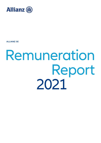

**ALLIANZ SE**

# Remuneration Report 2021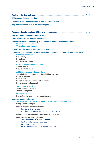$\langle \quad \equiv \quad \rangle$ 

|                                                                                                                                                                                                                          | $\blacktriangleright$ | 4  |
|--------------------------------------------------------------------------------------------------------------------------------------------------------------------------------------------------------------------------|-----------------------|----|
| <b>2021 Annual General Meeting</b>                                                                                                                                                                                       |                       |    |
| <b>Changes to the composition of the Board of Management</b>                                                                                                                                                             |                       |    |
| Key remuneration issues in the financial year                                                                                                                                                                            |                       |    |
|                                                                                                                                                                                                                          |                       | -5 |
| Key principles of the board remuneration                                                                                                                                                                                 |                       |    |
| <b>Determination of the remuneration system</b>                                                                                                                                                                          |                       |    |
| Determination of and adequacy of the Board of Management remuneration<br><b>Horizontal appropriateness</b><br><b>Vertical appropriateness</b>                                                                            |                       |    |
| <b>Overview of the remuneration system of Allianz SE</b>                                                                                                                                                                 |                       |    |
| <b>Components of the Board of Management remuneration and their relation to strategy</b><br><b>Fixed remuneration</b><br><b>Base salary</b><br><b>Perquisites</b><br><b>Pension contribution</b>                         |                       |    |
| <b>Performance-based remuneration</b><br><b>Annual bonus</b><br>Long-term incentive - LTI                                                                                                                                |                       |    |
| <b>Additional remuneration principles</b><br>Shareholding obligation and shareholding exposure<br>Malus/clawback<br><b>Payout cap</b><br><b>Deviation from the remuneration system</b><br><b>Remuneration adjustment</b> |                       |    |
| <b>Termination of service</b><br>Severance payment cap<br><b>Transition payment</b>                                                                                                                                      |                       |    |
| <b>Miscellaneous</b><br>Internal and external board appointments                                                                                                                                                         |                       |    |
| <b>Variable remuneration system</b><br>Target achievement factor to determine the variable remuneration<br><b>Group financial targets</b>                                                                                |                       |    |
| <b>Individual performance indicators</b><br><b>Business division targets</b><br>Non-financial targets (incl. sustainability targets)                                                                                     |                       |    |
| Determining the individual contribution factor (ICF)                                                                                                                                                                     |                       |    |
| Long-term incentive (LTI) design<br>Grant and contractual vesting period<br>Relative performance versus peers<br><b>Sustainability assessment</b><br>Allianz share performance, payout, and cap                          |                       |    |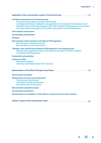| Application of the remuneration system in the financial year <b>Common Street Street Street Street</b> > 16                                                                                                                                                                                                                                                               |  |
|---------------------------------------------------------------------------------------------------------------------------------------------------------------------------------------------------------------------------------------------------------------------------------------------------------------------------------------------------------------------------|--|
| Variable remuneration for the financial year<br><b>Financial Group targets and target achievement</b><br>Individual performance indicators and application of the individual contribution factor<br>Potential impact of the legal disputes in the USA on Board of Management remuneration<br>Overview target achievement and variable remuneration for the financial year |  |
| <b>Share-based remuneration</b>                                                                                                                                                                                                                                                                                                                                           |  |
| <b>Shareholding requirements</b>                                                                                                                                                                                                                                                                                                                                          |  |
| <b>Pensions</b>                                                                                                                                                                                                                                                                                                                                                           |  |
| <b>Remuneration of the members of the Board of Management</b><br><b>Remuneration in the financial year</b><br><b>Remuneration for the financial year</b>                                                                                                                                                                                                                  |  |
| Members who retired from the Board of Management in the reporting year<br>Remuneration awarded and due in the financial year 2021 for former members<br>of the Board of Management                                                                                                                                                                                        |  |
| <b>Comparative presentation</b>                                                                                                                                                                                                                                                                                                                                           |  |
| <b>Outlook for 2022</b><br><b>New board members</b><br><b>Individual contribution factor (ICF) structure</b>                                                                                                                                                                                                                                                              |  |
| Remuneration of the Allianz SE Supervisory Board <b>Entity Community Strategy Area</b> > 30                                                                                                                                                                                                                                                                               |  |
| <b>Remuneration principles</b>                                                                                                                                                                                                                                                                                                                                            |  |
| <b>Remuneration structure and components</b><br><b>Fixed annual remuneration</b><br><b>Committee-related remuneration</b><br><b>Attendance fees and expenses</b>                                                                                                                                                                                                          |  |
| <b>Remuneration awarded and due</b>                                                                                                                                                                                                                                                                                                                                       |  |
| <b>Comparative presentation</b>                                                                                                                                                                                                                                                                                                                                           |  |
| Remuneration for mandates in other Allianz companies and for other functions                                                                                                                                                                                                                                                                                              |  |
|                                                                                                                                                                                                                                                                                                                                                                           |  |

 $\langle \quad \equiv \quad \rangle$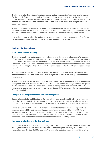<span id="page-3-0"></span>The Remuneration Report describes the structure and arrangements of the remuneration system for the Board of Management and the Supervisory Board of Allianz SE. It explains the application of the remuneration system in the financial year 2021, using detailed and individualized specifications on the remuneration of current and former members of the Board of Management and the Supervisory Board.

 The report was created jointly by the Board of Management and the Supervisory Board, and takes into consideration the requirements of § 162 of the German Stock Corporation Act (AktG), and the recommendations of the German Corporate Governance Code in its currently valid version.

 It was also decided to allow the auditor to carry out a comprehensive, content audit of the Remuneration Report above and beyond the legal requirements of § 162(3) AktG.

# **Review of the financial year**

# **2021 Annual General Meeting**

 The Supervisory Board had resolved minor adjustments to the remuneration system for members of the Board of Management with effect from 1 January 2021. These comprise primarily the introduction of requirements or recommendations of the German Stock Corporation Act and the German Corporate Governance Code. The details of these adjustments are described in the section "Other Remuneration Principles", "Deviation From The Remuneration System" and "Remuneration Adjustments".

 The Supervisory Board also resolved to adjust the target remuneration and the maximum remuneration of the Chairperson of the Board of Management, to ensure the appropriateness of the remuneration.

 The remuneration system adjusted on this basis was presented to the Annual General Meeting under agenda item 5 for approval on 5 May 2021. The Annual General Meeting approved the system for the remuneration of the members of the Board of Management with a majority of 87.14%. The remuneration system applies to all members of the Board of Management who were active in the financial year 2021.

# **Changes to the composition of the Board of Management**

 Barbara Karuth-Zelle and Christopher Townsend have been members of the Board of Management since 1 January 2021. They assumed departmental responsibility from Dr. Christof Mascher and Niran Peiris, both of whom retired from the Board of Management as of 31 December 2020.

 Effective 1 October 2021, Andreas Wimmer was appointed to the Board of Management. He assumed responsibility for the Asset Management division and Allianz Life in the U.S. from Jacqueline Hunt, who is acting as strategic advisor to the Chairperson of the Board of Management as of this date. Remuneration for the new members of the Board of Management was set at the same level as the other ordinary members of the Board of Management.

# **Key remuneration issues in the financial year**

 In addition to the situation and impact of the global COVID-19 pandemic on overall economic conditions, as well as on the insurance industry and Allianz employees, other key issues included the risk strategy and the Board of Management's planning for both the financial year 2022 and the

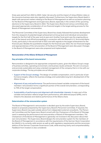<span id="page-4-0"></span>three-year period from 2022 to 2024. Cyber risk security and the impact of rising inflation rates on the insurance business were also regularly discussed. Furthermore, the Supervisory Board dealt in depth with personnel matters relating to the Board of Management as well as succession planning for the Board of Management and Supervisory Board, especially in the context of the upcoming elections to the Supervisory Board in 2022. The Supervisory Board and various committees also discussed appropriate consideration of non-financial targets in the target-setting process for the Board of Management remuneration.

 The Personnel Committee of the Supervisory Board has closely followed the business development from the viewpoint of potential target achievement at Group level and individual remuneration targets for the first half of the year and at year-end. Another focal point was the ongoing discussion of the lawsuit and official proceedings in connection with the AllianzGI U.S. Structured Alpha Funds, particularly in the second half of 2021 and with regards to the target achievement for the financial year. Besides the quantitative targets for the financial year 2022, the non-financial targets and appropriateness of the remuneration of the Board of Management were discussed. Changes in the Board of Management were also prepared and implemented.

# **Remuneration of the Allianz SE Board of Management**

# **Key principles of the board remuneration**

 Remuneration is designed to be appropriate compared to peers, given the Allianz Group's range of business activities, operating environment, and business results achieved. The aim is to ensure and promote sustainable and value-oriented management of the company that is in line with our corporate strategy. The key principles are as follows:

- Support of the Group's strategy: The design of variable compensation, and in particular of performance targets, reflects the business strategy and sustainable long-term development of the Allianz Group.
- Alignment of pay and performance: The performance-based variable component of the board members' remuneration forms a significant portion of the overall remuneration, corresponding to 70% of the target compensation.
- Sustainability of performance and alignment with shareholder interests: A major part of the variable remuneration reflects longer-term performance, with deferred payout (64%), and is linked to the absolute and relative performance of the Allianz share.

# **Determination of the remuneration system**

 The Board of Management's remuneration is decided upon by the entire Supervisory Board, based on proposals prepared by the Supervisory Board's Personnel Committee. If required, the Supervisory Board may seek outside advice from independent external consultants. The Personnel Committee and the Supervisory Board consult with the Chairperson of the Board of Management in assessing the performance and remuneration of Board of Management members. The Chairperson of the Board of Management is generally not involved in the discussion about their own remuneration. The Supervisory Board designs the remuneration system for the members of the Board of Management in accordance with the requirements of the German Stock Corporation Act (AktG) in its currently valid version as well as with regulatory requirements and the recommendations of the German Corporate Governance Code, while ensuring clarity and comprehensibility. Feedback from investors is also considered.

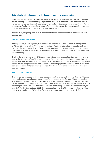## <span id="page-5-0"></span>**Determination of and adequacy of the Board of Management remuneration**

 Based on the remuneration system, the Supervisory Board determines the target total compensation, and regularly reviews the appropriateness of the remuneration. This is based on both a horizontal comparison (i.e., with peer companies) and a vertical comparison (in relation to Allianz employees). Again, the Supervisory Board's Personnel Committee develops respective recommendations, if necessary with the assistance of external consultants.

 The structure, weighting, and level of each remuneration component should be adequate and appropriate.

#### **Horizontal appropriateness**

 The Supervisory Board regularly benchmarks the remuneration of the Board of Management of Allianz SE against other DAX companies and selected international companies (including, for example, the top positions in the STOXX Europe 600 Insurance), taking into account the company's position, as well as the Allianz Group`s long-term performance, relative size, complexity, and internationality.

 The benchmarking against the DAX companies in December already took into account the extension of the peer group from 30 to 40 companies. The outcome of the horizontal comparison is that Allianz SE is well above 75th percentile relative to size (revenue, number of employees, and market capitalization) compared to the DAX companies. Accordingly, the total remuneration of the members of the Board of Management is orientated on the upper quartile of the remuneration of the peer companies.

#### **Vertical appropriateness**

 This comparison is based on the total direct compensation of a member of the Board of Management and the average direct compensation of an employee of the German Allianz companies. The Supervisory Board's decision in December is based on the factor resulting from this comparison for the previous financial year. For the financial year 2020, the factor for the Chairperson of Board of Management to employee was "66", and the factor for a regular board member to employee was "36". For the financial year 2021, the respective factor for the Chairperson of Board of Management to employee is "70" and the factor regular board member to employee is "41".

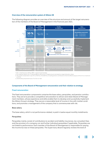## <span id="page-6-0"></span>**Overview of the remuneration system of Allianz SE**

 The following diagram provides an overview of the structure and amount of the target remuneration of the members of the Board of Management in the financial year 2021.



\* CEO = Chief Executive Officer, RBM = regular board member.

1\_For simplicity reasons, the LTI percentage as well as the LTI target amount are based on target allocation values.

2\_The overall compensation cap of € 11,750 thou | € 6,000 thou including pension contributions limits the effective payout of the LTI to a maximum of 272 %.

3\_Shareholding requirement plus LTI at full run-rate.

# **Components of the Board of Management remuneration and their relation to strategy**

# **Fixed remuneration**

 The fixed remuneration components comprise the base salary, perquisites, and pension contributions. They serve to provide a competitive remuneration to attract and retain Board of Management members, whose experience and skills enable them to develop and successfully implement the Allianz Group's strategy. They secure a reasonable level of income in line with market conditions, and promote a management of the company that is commensurate with risk.

## **Base salary**

The base salary, which is not performance-related, is paid in twelve equal monthly installments.

## **Perquisites**

 Perquisites mainly consist of contributions to accident and liability insurances, tax consultant fees and the provision of a company car and further individual perquisites if applicable. Perquisites are not linked to performance. Each member of the Board of Management is responsible for paying the income tax due on these perquisites. The Supervisory Board regularly reviews the level of

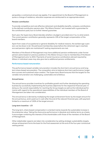<span id="page-7-0"></span>perquisites; a contractual annual cap applies. If an appointment to the Board of Management requires a change of residence, relocation expenses are reimbursed to an appropriate extent.

## **Pension contribution**

 To provide competitive and cost-effective retirement and disability benefits, company contributions to the defined-contribution pension plan "My Allianz Pension" are invested with a guarantee for the contributions paid, but no further interest guarantee.

 Each year, the Supervisory Board decides whether a budget is provided and, if so, to what extent. The current pension contribution generally represents 15% of the target compensation of the board members.

 Apart from cases of occupational or general disability for medical reasons, the earliest age a pension can be drawn is 62. Should board membership cease before the retirement age is reached, accrued pension rights are maintained if vesting requirements are met.

 Members of the Board of Management may have additional pension entitlements under former pension plans based on previous positions in the Allianz Group or due to membership of the Board of Management prior to 2015. Payments of social insurance contributions abroad required by Allianz in individual cases may also give rise to additional pension entitlements.

## **Performance-based remuneration**

 The performance-based variable remuneration includes the short-term annual bonus and longterm share-based remuneration. The composition aims to balance short-term performance, longerterm success and sustained value creation. The Supervisory Board ensures that the targets for the variable remuneration are challenging, sustainable and ambitious.

## **Annual bonus**

 The annual bonus provides incentives for profitable growth and further developing the operating business by successfully implementing the business objectives for the respective financial year. In doing so, the overall responsibility for reaching the Group targets as well as the individual performance with regard to the operational responsibilities of the individual members of the Board of Management are taken into consideration.

 The annual bonus is derived by multiplying the target achievement factor by the target amount for the annual bonus, and is paid out in cash after the end of the relevant financial year, with payment limited to a maximum of 150% of the target amount.

## **Long-term incentive – LTI**

 The long-term, share-based compensation is oriented mainly towards the sustainable increase in the enterprise value. Taking the share price performance in absolute and relative terms as a basis, it encourages combining the interests of the shareholders with those of the members of the Board of Management.

 Other stakeholder aspects are taken into consideration by setting strategic sustainability targets, whose achievement forms the basis for the final assessment at the end of the four-year contractual vesting period.

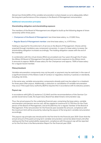<span id="page-8-0"></span> Almost two thirds (64%) of the variable remuneration is share-based, so as to adequately reflect the long-term performance of the company in the Board of Management remuneration.

# **Additional remuneration principles**

## **Shareholding obligation and shareholding exposure**

 The members of the Board of Management are obliged to build up the following degree of share ownership within three years:

- Chairperson of the Board of Management: two times base salary, i.e., € 3,822 thou,
- Regular Board of Management member: one time base salary, i.e.,  $\epsilon$  975 thou.

 Holding is required for the entire term of service on the Board of Management. Shares will be acquired through mandatory pay component conversion. In case of a base salary increase, the shareholding obligation increases accordingly. The holding obligation ceases with the end of the mandate.

 In combination with the virtual shares (RSU) accumulated over four years through the LTI plan, the Allianz SE Board of Management has significant economic exposure to the Allianz stock: It amounts to approx. 800% of base salary for the Chairperson and approx. 700% of base salary for a regular board member.

## **Malus/clawback**

 Variable remuneration components may not be paid, or payment may be restricted, in the case of a significant breach of the Allianz Code of Conduct or regulatory Solvency II policies or standards, including risk limits.

 In the same way, variable remuneration components already paid may be subject to a clawback for three years after payout. Additionally, a reduction or cancellation of variable remuneration may occur if the supervisory authority (BaFin) requires this in accordance with its statutory powers.

## **Payout cap**

 In accordance with § 87a (1) sentence 2 (1) AktG and the recommendations of the German Corporate Governance Code, the Supervisory Board has determined a remuneration cap.

 Thus, the actual payout for the underlying financial year, comprising the base salary, variable remuneration and pension service cost, will be capped at maximum  $\epsilon$  11,750 thou for the Chairperson of the Board of Management, and at € 6,000 thou for a regular member of the Board of Management. If the remuneration for the financial year exceeds this amount, compliance with the maximum limit will be ensured by reducing the payout of the long-term variable remuneration accordingly.

 This payout cap principle was introduced for the first time for the financial year 2019. Given that the actual amount of the paid out long-term variable remuneration cannot be determined until after vesting and the final sustainability assessment, compliance with the payout cap will be reported on for the first time in the Remuneration Report for the financial year 2024.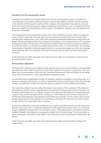# <span id="page-9-0"></span>**Deviation from the remuneration system**

 The Supervisory Board can deviate temporarily from the remuneration system in exceptional circumstances in accordance with the statutory requirements (§ 87a (2) AktG), if this is necessary in the interests of the long-term welfare of the company. The assessment may take into account both macroeconomic and company-related exceptional circumstances, such as impairment of the long-term viability and profitability of the company. The deviation requires a prior proposal by the Personnel Committee.

 The components of the remuneration system from which deviations may be made in exceptional cases include in particular the base salary, the annual bonus and the long-term incentive (LTI), including their relationship to each other, their respective assessment bases where applicable, the target setting and target achievement assessment principles, and the determination of any payout and payment dates. The duration of the deviation shall be determined by the Supervisory Board at its due discretion, but should not exceed a period of four years. In a crisis situation, for example, this principle is intended to allow the appointment of a new board member, e.g., with crisis management expertise, with a remuneration structure that temporarily deviates from the remuneration structure.

 In the financial year 2021, the Supervisory Board did not make use of the option to deviate from the remuneration system.

## **Remuneration adjustment**

 The Supervisory Board is also entitled to take appropriate account of extraordinary unforeseeable developments when determining the amount of the variable remuneration components. This rule takes up a recommendation of the German Corporate Governance Code and allows for the adjustment of the remuneration in rare unforeseeable exceptional cases.

 Conceivable cases of application include, for example, significant changes in accounting rules, or in the tax or regulatory framework, as well as catastrophic events not yet known at the time of target setting. The application of this rule may also lead to a reduction in the variable remuneration.

 The Supervisory Board may also adjust the target remuneration of the members of the Board of Management, insofar as this is appropriate to ensure that the remuneration of the Chairperson of the Board of Management or a regular member of the Board of Management is appropriate with regard to their duties and performance. In doing so, it shall take into account the comparison of the Board of Management remuneration horizontally and vertically. The aim of this rule is to moderately adjust Board of Management remuneration on the basis of horizontal and vertical salary trends, and thus to avoid major salary increases.

 It does not constitute an automatic adjustment, but requires a justified decision by the Supervisory Board in each case. Such a moderate adjustment of the target remuneration does not in itself represent a significant change to the remuneration system. These adjustments or deviations must be justified in detail in the respective remuneration report for the financial year. The remuneration report is prepared in accordance with ARUG II and submitted to the Annual General Meeting for approval.

 In the financial year 2021, the Supervisory Board did not make use of the option to adjust the remuneration.

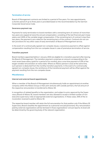# <span id="page-10-0"></span>**Termination of service**

 Board of Management contracts are limited to a period of five years. For new appointments, a shorter period of up to three years is provided based on the recommendation by the German Corporate Governance Code.

## **Severance payment cap**

 Payments for early termination to board members with a remaining term of contract of more than two years are capped at twice the annual compensation, consisting of the last financial year's base salary and 100% of the variable target compensation. If the remaining term of contract is less than two years, the payment is pro-rated for the remaining term of the contract. Contracts do not contain provisions for any other cases of early termination of Board of Management service.

 In the event of a contractually agreed non-compete clause, a severance payment is offset against compensation resulting from the non-compete clause in case of premature termination of service.

## **Transition payment**

 Board members appointed before 1 January 2010 are eligible for a transition payment after leaving the Board of Management. The transition payment comprises an amount corresponding to the most recent base salary (paid for a period of six months), plus a one-time payment of 25% of the target variable remuneration at notice date. Where an Allianz pension is due at the same time, such pension is deducted from the monthly transition payments. In the event of a contractually agreed non-compete clause, the remittance of the transitional payment will be offset against the payment resulting from the non-compete clause.

# **Miscellaneous**

# **Internal and external board appointments**

 When a member of the Board of Management simultaneously holds an appointment at another company within the Allianz Group or their joint ventures with outside partners, the full amount of the respective remuneration is transferred to Allianz SE.

 In recognition of related benefits to the organization, and subject to prior approval by the Supervisory Board of Allianz SE, board members are also allowed to accept a limited number of nonexecutive supervisory roles at appropriate external organizations. In these cases, 50% of the remuneration received is paid to Allianz SE.

 The respective board member will retain the full remuneration for that position only if the Allianz SE Supervisory Board classifies the appointment as a personal one *(ad personam)*. Any remuneration paid by external organizations will be itemized in those organizations' annual reports; its level will be determined by the governing body of the relevant organization.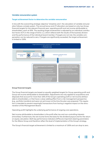## <span id="page-11-0"></span>**Variable remuneration system**

## **Target achievement factor to determine the variable remuneration**

 In line with the overarching strategic objective "simplicity wins", the calculation of variable remuneration follows a simple system. The annual bonus and LTI allocation are based on only two Group financial targets for the relevant financial year: operating profit and net income attributable to shareholders, each at 50%. The resulting target achievement is adjusted by an individual contribution factor (ICF) in the range of 0.8 to 1.2, which reflects both the results of the business division and the performance of the individual board member. If targets are not met, the variable compensation can be reduced to zero. If targets are significantly exceeded, the target achievement is limited to 150%.



## **Group financial targets**

 The Group financial targets are based on equally weighted targets for Group operating profit and Group net income attributable to shareholders. Adjustments are only applied to acquisitions and disposals that account for more than 10% of the Group's operating profit or net income attributable to shareholders, or that have a value-adding effect from a risk management perspective (e.g., portfolio transfers) and were not yet known at the time the plan was prepared. This regulation is intended to prevent meaningful transactions from having a negative impact on the remuneration of the Management Board.

Operating profit highlights the underlying performance of ongoing core operations.

 Net income attributable to shareholders is the profit after tax and non-controlling interests (minorities). Furthermore, the net income forms the basis for the dividend payout and for the return on equity calculation. Both key performance indicators (KPIs) are important steering parameters for the Allianz Group and therefore reflect the level of implementation of the Group's strategy.

The Group's financial target achievement is limited to a maximum of 150% and can drop to zero.

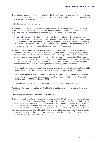<span id="page-12-0"></span> The minimum, target, and maximum values for the Group financial targets are set annually by the Supervisory Board. These are documented for the respective next financial year and published expost in the remuneration report.

## **Individual performance indicators**

 The Group financial target achievement is multiplied by the ICF for each board member. The ICF is based on an assessment by the Allianz SE Supervisory Board, resting upon KPIs reflecting the respective board member's area of responsibility and their personal contribution.

- Business division targets: For board members with business-related division responsibilities, the contribution to the financial performance considers various indicators of profitability (e.g., operating profit and net income) and productivity (e.g., expense ratio) for the respective business division. For board members with a functional focus, division-specific performance targets are determined based on their key responsibilities, and qualitatively assessed.
- Non-financial targets (incl. sustainability targets): Customer satisfaction (for example, Net Promoter Score (NPS)) and employee satisfaction (for example, Allianz Engagement Survey) are taken into account in the non-financial targets. The management qualities, including strategic properties, are also assessed. The review of the individual management qualities assesses behavioral aspects, such as customer orientation, personnel management, corporate behavior, and credibility (for example, social responsibility, integrity, diversity). The following elements were taken into account in 2021 with regard to sustainability/climate protection:
	- Decarbonizing the Allianz Group's business operations and increasing the share of renewable energy in order to reduce carbon emissions by 30% by 2025, against a 2019 baseline.
	- Decarbonizing the investment portfolio in line with the Asset Owner Alliance (AOA) with the interim target of reducing emissions in listed equities and corporate bonds asset classes by 25% by year-end 2024 (baseline year 2019).
	- Securing the strong sustainability position in three leading sustainability indices.

 Additional information can be found in the Non-Financial Statement for the Allianz Group and Allianz SE.

# **Determining the individual contribution factor (ICF)**

 The Supervisory Board determines the ICF for each member of the Board of Management based on the fulfillment of the individual performance indicators. Most of the performance indicators are provided with quantitative criteria, and therefore offer a sufficiently concrete basis for the combined assessment. The individual indicators are not weighted on a percentage basis, so that the ICF is not determined on the basis of a formulaic calculation. This allows the Supervisory Board to take appropriate consideration of the individual criteria and to react appropriately to changes in priorities during the year. Since the performance is determined without a specified weighting, the ICF covers a narrow range of 0.8 to 1.2.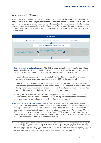# <span id="page-13-0"></span>**Long-term incentive (LTI) design**

ative terms (i.e., versus competitors) of the Allianz share. Furthermore, the long-term development The long-term, share-based compensation component makes up the largest portion of variable compensation. It promotes alignment with shareholders and reflects the sustainable implementation of the company's long-term strategy. The LTI is based on the performance in absolute and relof KPIs is reflected in the deferred sustainability assessment following the four-year contractual vesting period.



- Grant and contractual vesting period: The LTI is granted annually in the form of virtual Allianz shares, so-called restricted stock units (RSUs). The number of RSUs to be granted corresponds to the LTI allocation amount, divided by the allocation value of an RSU at grant:
	- The LTI allocation amount is derived by multiplying the LTI target amount by the annual bonus achievement factor, and capped at maximum 150% of the target level.
	- The RSU allocation value is based on the ten-day-average Xetra closing price of the Allianz stock following the annual financial media conference<sup>1</sup>. As RSUs are virtual stock without dividend payments, the relevant share price is reduced by the net present value of the expected future dividend payments during the four-year contractual vesting period.

 The LTI grant is followed by a contractual vesting period of four years. After that period, the LTI amount to be paid is determined based on the relative performance of the Allianz share, the relevant share price, and the results of the sustainability assessment.

• Relative performance versus peers: Besides the absolute share-price development, the LTI payout takes the relative performance of the Allianz share into account. The total shareholder return (TSR) of the Allianz share is benchmarked against the TSR of the STOXX Europe 600 insurance index by reflecting the relation of the total performance of the Allianz share ("Allianz TSR") and the total performance of the STOXX Europe 600 insurance index ("Index TSR") between the start and end of the four-year contractual vesting period. The payout is based on the TSR performance factor, which is calculated as follows:

<sup>1)</sup> For accounting purposes, the determination of the fair value of RSUs is based on an option pricing model taking into account additional input parameters, including the term structure of interest rates and the expected relative performance of the Allianz share price compared to the peer index. For the latter, simulation techniques are applied at the valuation date to determine the volatility of the Allianz stock, the volatility of the peer index, their correlation, and the expected dividends. The value of the RSUs used for the board members' compensation may deviate from this IFRS value, as a simplified calculation method was applied to increase transparency and traceability.

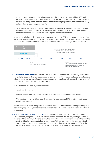- <span id="page-14-0"></span>- At the end of the contractual vesting period, the difference between the Allianz TSR and the Index TSR is determined in percentage points; the result is multiplied by "2": As the comparison with competitors and the market is of outstanding importance, the outperformance/ underperformance is weighted twofold.
	- To determine the factor, 100 percentage points are added to the result. Example: 1 percentage point outperformance results in a relative performance factor of 102%; 1 percentage point underperformance results in a relative performance factor of 98%.

 In order to avoid incentivizing excessive risk-taking, the relative TSR performance factor is limited: it can vary between zero (for underperformance of the index by - 50 percentage points or lower) and 200% (for outperformance of the index by minimum + 50 percentage points or higher).



• Sustainability assessment: Prior to the payout of each LTI tranche, the Supervisory Board determines, following a preliminary assessment by the Personnel Committee and the external auditor, whether there are any sustainability-related concerns regarding a full payout. If so, payment of the tranche may be canceled in full or in part.

Subject of the sustainability assessment are:

- compliance breaches,
- balance sheet issues, such as reserve strength, solvency, indebtedness, and ratings,
- KPIs entailed in the individual board members' targets, such as NPS, employee satisfaction, and climate targets.

 The assessment is made applying a comparable basis; i.e., any regulatory changes, changes in accounting regulations, or changes in calculation methods for the KPIs in question are taken into account.

• Allianz share performance, payout, and cap: Following the end of the four-year contractual vesting period, the granted RSUs are settled in cash, based on the ten-day average Xetra closing price of the Allianz SE share following the annual financial media conference in the year the respective RSU plan vests, multiplied by the relative TSR performance factor, and adjusted by the sustainability assessment, if necessary. The relevant share price is capped at 200% of the grant price. Likewise, the relative TSR performance factor is capped at a maximum of 200%.

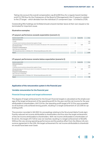<span id="page-15-0"></span>Taking into account the overall compensation cap  $(€ 6,000$  thou for a regular board member and € 11,750 thou for the Chairperson of the Board of Management), the LTI payout in relation to the LTI target – which deviates from the individual LTI component caps – is limited to 272%.

 Outstanding RSU holdings are forfeited should a board member leave at their own request or be terminated for important cause.

## **Illustrative examples:**

## **LTI payout: performance exceeds expectation (scenario 1)**

| Illustrative example for RBM                                                                                                                                                               | %   | Number RSUs | $\epsilon$ thou |
|--------------------------------------------------------------------------------------------------------------------------------------------------------------------------------------------|-----|-------------|-----------------|
| Initial grant based on:                                                                                                                                                                    |     |             |                 |
| •LTI target                                                                                                                                                                                |     |             | 1,463           |
| . LTI allocation amount: annual bonus achievement factor applied to LTI target                                                                                                             | 110 |             | 1,609           |
| .RSU grant (listed share price: € 240, share price relevant to the calculation of the allocation: € 190 (= reduced by the net present value of estimated<br>future dividends of $\in$ 50)) |     | 8,470       |                 |
| LTI payout at vesting based on:                                                                                                                                                            |     |             |                 |
| $\cdot$ RSUs x share price at vesting (€ 298)                                                                                                                                              |     |             | 2,524           |
| •TSR relative performance factor: 2 x (TSR Allianz: 45 % – TSR Stoxx Europe 600 Insurance: 40 %) + 100 %                                                                                   | 110 |             |                 |
| Payout                                                                                                                                                                                     |     |             | 2.776           |
|                                                                                                                                                                                            |     |             |                 |

# **LTI payout: performance remains below expectation (scenario 2)**

| Illustrative example for RBM                                                                                                                                                               | %  | Number RSUs | $\epsilon$ thou |
|--------------------------------------------------------------------------------------------------------------------------------------------------------------------------------------------|----|-------------|-----------------|
| Initial grant based on:                                                                                                                                                                    |    |             |                 |
| •LTI target                                                                                                                                                                                |    |             | 1,463           |
| . LTI allocation amount: annual bonus achievement factor applied to LTI target                                                                                                             | 90 |             | 1,317           |
| .RSU grant (listed share price: € 240, share price relevant to the calculation of the allocation: € 190 (= reduced by the net present value of estimated<br>future dividends of $\in$ 50)) |    | 6,930       |                 |
| LTI payout at vesting based on:                                                                                                                                                            |    |             |                 |
| $\cdot$ RSUs x share price at vesting (€ 226)                                                                                                                                              |    |             | 1,566           |
| •TSR relative performance factor: 2 x (TSR Allianz: 15 % – TSR Stoxx Europe 600 Insurance: 40 %) + 100 %                                                                                   | 50 |             |                 |
| Payout                                                                                                                                                                                     |    |             | 783             |
|                                                                                                                                                                                            |    |             |                 |

# **Application of the remuneration system in the financial year**

## **Variable remuneration for the financial year**

## **Financial Group targets and target achievement**

 The degree of target achievement for the Group's financial targets is calculated as the simple average of the target achievement of the operating profit for the year and the net income for the year attributable to shareholders. At  $\in$  13.4 bn, the operating profit target of  $\in$  12.0 bn was exceeded as all business units achieved strong growth, resulting in a target achievement of 123.33% for operating profit.

 The provision recorded in Q4 2021 for proceedings relating to the Structured Alpha Funds significantly reduced net income attributable to shareholders and thus also the target achievement of the net income attributable to shareholders. With net income attributable to shareholders of € 6.61 bn, the target of €7.20 bn was not reached, resulting in a target achievement of 83.60%. Without the very strong operating performance and the positive effect from the Allianz Life reinsurance agreement in the USA, the target achievement for net income attributable to shareholders would have been even lower.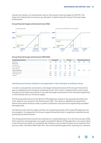<span id="page-16-0"></span>Overall, this results in an achievement rate for the Group's financial targets of 103.47%. The Supervisory Board did not exercise any discretion in determining the Group's financial target achievement.





#### **Group financial target achievement 2019-2021**

| Group financial target achievement |        | <b>Operating profit</b> |        |        | Net income |       | Achievement level combined in % |       |        |  |
|------------------------------------|--------|-------------------------|--------|--------|------------|-------|---------------------------------|-------|--------|--|
| Financial year                     | 2019   | 2020                    | 2021   | 2019   | 2020       | 2021  | 2019                            | 2020  | 2021   |  |
| Bonus curve                        |        |                         |        |        |            |       |                                 |       |        |  |
| $0\%$ - Floor in $\epsilon$ bn     | 5.80   | 6.00                    | 6.00   | 3.80   | 4.00       | 3.60  |                                 |       |        |  |
| 100 % - Target in $\epsilon$ bn    | 11.50  | 12.00                   | 12.00  | 7.50   | 7.90       | 7.20  |                                 |       |        |  |
| 150 % - Max in € bn                | 14.35  | 15.00                   | 15.00  | 9.35   | 9.85       | 9.00  |                                 |       |        |  |
| <b>Target achievement</b>          |        |                         |        |        |            |       | 108.72                          | 75.58 | 103.47 |  |
| Achievement level in $\epsilon$ bn | 11.86  | 10.75                   | 13.40  | 7.91   | 6.81       | 6.61  |                                 |       |        |  |
| Achievement level in %             | 106.24 | 79.19                   | 123.33 | 111.19 | 71.97      | 83.60 |                                 |       |        |  |
| Weight in %                        | 50.00  | 50.00                   | 50.00  | 50.00  | 50.00      | 50.00 |                                 |       |        |  |
|                                    |        |                         |        |        |            |       |                                 |       |        |  |

## **Individual performance indicators and application of the individual contribution factor**

 In order to calculate the annual bonus, the target achievement level of the Group's financial targets is multiplied by the individual contribution factor (ICF), which is determined for each board member by the Supervisory Board in line with the target achievement of the individual agreement on the financial and non-financial targets.

 The financial performance of the Board of Management, based on the operating business, has to be rated as very strong for the financial year 2021. The solvency stabilized at a good level. Almost all business divisions made a positive contribution and some have significantly exceeded the target level.

 The Iberia & Latin America region and the non-operating business of the Asset Management are the exception. Consequently, the Group's target achievement level is negatively impacted almost exclusively by these divisions.

 The strong performance overall was achieved on a sustainable basis. As in the financial year 2020, both customers and employees once again awarded the Board of Management a very good rating in the financial year 2021, as revealed by the indicators such as Net Promoter Score, Inclusive Meritocracy Index, and Work Well Index Plus. The environmental target set for reducing CO $_{\textrm{\tiny{2}}}$  emissions

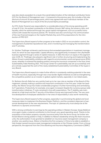was also clearly exceeded. As a result, the overall determination of the individual contribution factor (ICF) for the Board of Management was 1. Compared to the previous year, this includes a flat-rate discount of around 10 percentage points, which was agreed with each individual member of the Board of Management as a result of the Structured Alpha proceedings.

 As CFO, Giulio Terzariol was responsible for a considerable share of the strong operating profit of over € 13 bn. He worked consistently on the Allianz Group's S&P rating, the solvency ratio, and liquidity, which he reinforced through very good capital management, such as successful transactions with closed life insurance policies. Mr. Terzariol was also convincing in his communication of the new financial targets on the Capital Markets Day and of the preparations for the introduction of IFRS 9/17.

 The Supervisory Board expects further progress to be made in 2022 on accumulation control, the management of potential reputational risks, and in monitoring and managing the transformation and IT activities.

 Dr. Günther Thallinger achieved a performance that exceeded expectations in investment management, for which he was responsible. Capital efficiency was significantly increased in the Life/Health business segment through a series of capital measures. In 2021 the return on equity in this segment was 13.0%. Dr. Thallinger also played a significant role in further structuring and implementing the Allianz Group's sustainability ambitions with regard to environmental, social and governance (ESG) issues, whereby it achieved the leading position among the insurance companies in the Dow Jones Sustainability Index Ranking 2021. The Group Center for sustainability was set up successfully and pro-actively supported the work of the newly-established Sustainability Committee of the Supervisory Board.

 The Supervisory Board expects to make further efforts in consistently realizing potential in the area of health insurance, especially through new cross-border digital initiatives as well as strengthening the competitive position as an investor in global capital markets, especially in non-listed assets.

 Dr. Barbara Karuth-Zelle has very quickly lived up to her new role as member of the Board of Management, already making a positive and important contribution in her first year. Under her leadership, the Allianz Group has made considerable progress in further harmonizing and centralizing its IT operations. Productivity, for example, once again increased. Despite the numerous group-wide transformation initiatives, IT costs remained in line with expectations. The IT stability was maintained at a high level and the IT security of the Allianz Group was improved further. The very positive development of employee satisfaction in her area of responsibility is also worth mentioning.

 The Supervisory Board expects further progress, especially in synchronizing the global and local measures taken to implement the Business Master Platform, and the consistent alignment of personnel development to the new requirements. The topic of cybersecurity must always be at the forefront in a dynamic environment.

 With a strong contribution to earnings by the operating entities in Western Europe, Sergio Balbinot once again made a material contribution to the Group's very good operating result. Thanks to the acquisition of the Italian property-casualty insurance entity from the Aviva Group, he further reinforced Allianz's strong position in Italy. In addition to Allianz's leadership among the Asian insurance units, the authorization it was granted to establish an insurance asset management company is another very positive issue. Allianz is therefore the first company in China to be able to establish a fully foreign-owned insurance asset management enterprise on the Chinese market. From a Group perspective, the approval from the China Banking and Insurance Regulatory Commission (CBIRC)

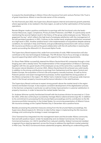to acquire the shareholdings in Allianz China Life Insurance from joint venture Partner Citic Trust is of great importance. Allianz is now the sole owner of this company.

 For the financial year 2022, the Supervisory Board expects internal and external growth potential, where appropriate, to be realized in the Asia region, as well as further optimization of the business operations.

 Renate Wagner made a positive contribution to earnings with the functional units she leads – Human Resources, Legal, Compliance, Privacy & Data Protection, and M&A. It is particularly worth mentioning the second-highest result in the history of the group-wide employee survey "Allianz Engagement Survey", which reflects the high level of employee satisfaction with the management of the still persistent pandemic in 2021. Contrary to the market trend, employee satisfaction remained at a high level in 2021. Another positive factor is the implementation of acquisitions despite adverse conditions, for example in Italy and Poland, and groundbreaking transactions with various closed life insurance portfolios as well as the good collaboration with the US authorities in resolving the events surrounding the AllianzGI U.S. Structured Alpha Funds.

 The Supervisory Board expects that, aside from economies of scale, M&A transactions will also contribute to the new technological challenges. The HR division has to focus strongly on developing and supporting talent within the Group, with regard to the changing requirements.

 Dr. Klaus-Peter Röhler successfully steered the Allianz Deutschland AG companies through a challenging year with a steady hand. The implementation of the reorganization of Allianz in Germany, together with the very good results of the employee survey at the same time, is positive. Despite the severe natural disasters of summer 2021, Allianz Deutschland AG achieved very solid results. In addition to the strong contributions to earnings from Switzerland and the region Central and Eastern Europe, the acquisition of Aviva's life and property-casualty business, as well as Aviva Poland's pension and asset management businesses, further expanded the strong position of the Allianz companies in the region. Mr. Röhler had a material impact on the group-wide improvement in the Group's property insurance performance indicators in the retail business.

 The Supervisory Board continues to expect strong growth above the market trend in the region Central and Eastern Europe. It also expects consistent development of the digitalization process in the German companies in particular as well as timely improvements in customer satisfaction in property insurance, in order to become the market leader here too.

 Dr. Andreas Wimmer quickly familiarized himself with the business division he assumed on 1 October 2021, while also continuing to successfully manage Allianz Lebensversicherungs-AG. In addition to his commitment to processing the Structured Alpha proceedings and his contribution to the life insurance portfolio transaction in the United States, his convincing presentation of Allianz's future life insurance strategy at the Capital Markets Day in December was a positive factor.

 Besides processing the potential measures arising from the Structured Alpha proceedings, the Supervisory Board expects Dr. Wimmer to take further steps in implementing the life insurance strategy and continuing the strategy in asset management.

 Chris Townsend has integrated into the management team and the broader Allianz community fast and with positive impact. Under his leadership and via Global Commercial, the Group's Commercial business, incl. AGCS, benefited from reduced volatility. Global Commercial installed a segment-focus steering approach across the Group to address the significant market potential in Mid-Corp. The AGCS turnaround shows substantial progress, delivering an underwriting profit,

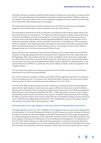<span id="page-19-0"></span>and Euler Hermes successfully exited the State Support Schemes and was able to increase profits in 2021. Australia delivered on the replatforming of the new Business Master Platform with positive results. The strong indices of the annual employee engagement survey within the units under Chris Townsend's responsibility were encouraging.

 The Supervisory Board expects further improvement in the Mid-Corp business, and tangible progress in the transformation of the companies in the UK and Australia.

 The quantitative performance of the companies in the Iberia & Latin America region led by Iván de la Sota fell short of expectations. The Supervisory Board expects a visible improvement here, in terms of profitability and technical excellence. It is worth mentioning the promising start of the joint venture with Banco Bilbao Vizcaya Argentaria (BBVA) in Spain, the integration of the SulAmérica business in Brazil, and the successful transactions of the Allianz X unit in promising FinTech companies. The Supervisory Board assesses as very positive the further successful steps taken towards developing and implementing a uniform, cross-border product and IT platform strategy as well as in the claims processing of Allianz Group.

 Allianz Life Insurance Company of North America (Allianz Life) as well as AllianzGI and PIMCO showed a strong operating performance during the time Jacqueline Hunt was responsible until 30 September 2021. Also positive was the successful completion of the reinsurance agreement for a \$35 billion fixed index annuity portfolio by AZ Life, which significantly improved the Allianz Group's return on equity and strengthened the Allianz Group's regulatory capital position. In the case of AllianzGI and PIMCO, in particular, the record inflows of assets under management had a positive impact.

 The non-financial targets also showed a good performance of Mrs. Hunt and her contribution went beyond her divisional responsibilities.

 Mrs. Hunt has been an excellent member of the Board of Management and there is no evidence of any wrongdoing by her in connection with Structured Alpha. However, the net income impact of the provision for Structured Alpha has been reflected in her ICF of 0.8.

 Overall, Oliver Bäte acted prudently and with confidence, providing his Board of Management team with the right impetus in what was once again a difficult environment, so that the Allianz Group could consistently meet its operating targets beyond expectations. Mr. Bäte presented the Allianz Group's new strategy and ambition for 2022 – 2024 with great conviction at the Capital Markets Day and the Supervisory Board now expects consistent implementation of this strategy. Mr. Bäte convinced analysts and investors alike with the new dividend strategy and the announcement of AZ Life's groundbreaking transactions in the United States. He was once again a great role model to the entire Allianz management in 2021.

## **Potential impact of the legal disputes in the USA on Board of Management remuneration**

 The legal disputes in the U.S.A. will, in addition to the negative impact on net income attributable to shareholders of the Asset Management division and the Group as a whole, because of failure of this element to meet the financial targets for the 2021 financial year, and through the agreement to a 10 percentage point discount on the individual contribution factor of all board members, also have negative implications for the bonus of the entire Board of Management. The distribution of the LTI in 2022 will be reduced, as well as the bonus payment. Furthermore, the legal disputes in the USA could also potentially have a clearly negative effect on the Board of Management's longterm incentive. The long-term incentive is based on Allianz SE's share price performance in abso-

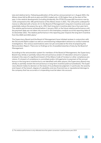lute and relative terms. Following publication of the ad hoc announcement on 1 August 2021, the Allianz share fell by 8% and at year-end 2021 traded only +3.5% higher than at the start of the year. In the relative development (including dividends), the STOXX Europe 600 Insurance rose by +21% compared to the +8% performance of the Allianz share in 2021. The 12% points underperformance is reflected with a factor of 2 in the Board of Management's long-term incentive and could potentially reduce the payout by up to -25%. Each long-term incentive plan has a four-year term. The relative performance achieved before 1 January 2021 or the future relative performance until the payment date are not taken into account in this exemplary analysis as at the reporting date of 31 December 2021. The relative performance in the reporting year impacts the long-term incentive from the 2020 and 2021 plans. $2$ 

 The Supervisory Board and the Board of Management have initiated reviews in conjunction with the Structured Alpha subject as well as commissioning independent advisors to conduct external investigations. The various examinations were not yet concluded at the time of preparing this Remuneration Report. There are no findings so far of possible breaches of duty by the Board of Management.

 According to the remuneration system for members of the Board of Management, the Supervisory Board may wholly or partially reduce the annual bonus and/or LTI allocation amount or payout (malus) in the case of a significant breach of the Allianz Code of Conduct or other compliance provisions. If a breach of compliance is committed and/or infringed prior to payment of the annual bonus or the long-term incentive but is not identified until after payout, the Supervisory Board may wholly or partially reclaim the annual bonus or long-term incentive paid out (clawback). The Supervisory Board makes its decision on the basis of its professional judgment. In particular, the severity and impact of the breach, degree of culpability and any financial loss or reputational damage to the company that has occurred or is impending must be taken into account.

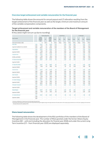# <span id="page-21-0"></span>**Overview target achievement and variable remuneration for the financial year**

 The following table shows the amounts for annual payout and LTI-allocation resulting from the target achievement of the financial year as well as the target, minimum and maximum amount of the variable compensation components.

# **Target achievement and variable remuneration of the members of the Board of Management for the financial year**

 $\epsilon$  thou (total might not sum up due to rounding)

| Group<br>Target<br>Board member<br>achieve<br>financial<br>ICF<br>Min<br>Min<br>Max<br>Allocation<br>Target<br>Max<br>Payout<br>Target<br>performa<br>ment<br>factor<br>nce<br>$\%$<br>€ thou<br>€ thou<br>€ thou<br>€ thou<br>Active board members in 2021<br>$0.8 - 1.2$<br>%<br>€ thou<br>€ thou<br>€ thou<br>2021<br>103.47<br>109.68<br>1,593<br>1,748<br>1.06<br>2,390<br>2,867<br>4,301<br>Oliver Bäte<br>2020<br>75.58<br>88.43<br>1,422<br>2,263<br>1.17<br>2,133<br>1,257<br>2,559<br>3,839<br>Appointed: 01/2008; CEO since 05/2015<br>3,144<br>2019<br>108.72<br>1.13<br>122.85<br>1,422<br>2,133<br>1,747<br>2,559<br>3,839<br>813<br>892<br>1,605<br><b>Sergio Balbinot</b><br>2021<br>103.47<br>1.06<br>109.68<br>1,220<br>1,463<br>2,195<br>2020<br>75.58<br>1,283<br>87.67<br>813<br>1,220<br>713<br>1,463<br>2,195<br>1.16<br>Appointed: 01/2015<br>2019<br>108.72<br>1.11<br>120.68<br>813<br>1,220<br>981<br>2,195<br>1,463<br>1,211<br><b>Jacqueline Hunt</b><br>2021<br>103.47<br>0.80<br>82.78<br>813<br>1,220<br>673<br>1,463<br>2,195<br>2020<br>75.58<br>1,261<br>813<br>1,220<br>700<br>1,463<br>2,195<br>1.14<br>86.16<br>07/2016 until 09/2021<br>1,750<br>2019<br>108.72<br>1.10<br>119.59<br>813<br>1,220<br>972<br>1,463<br>2,195<br>Dr. Barbara Karuth-Zelle<br>2021<br>103.47<br>1.04<br>813<br>107.61<br>1,220<br>875<br>1,463<br>2,195<br>2020<br>J.<br>Appointed: 01/2021<br>2019<br>÷,<br>÷,<br>Dr. Klaus-Peter Röhler<br>2021<br>103.47<br>1.05<br>108.64<br>813<br>1,220<br>883<br>1,463<br>2,195<br>2020<br>75.58<br>1.15<br>86.92<br>611<br>917<br>531<br>1,100<br>1,650<br>Appointed: 04/2020<br>2019<br>Iván de la Sota<br>2021<br>103.47<br>0.98<br>101.40<br>813<br>1,220<br>824<br>1,463<br>2,195<br>1,483<br>2020<br>75.58<br>83.89<br>813<br>682<br>1,227<br>1.11<br>1,220<br>1,463<br>2,195<br>Appointed: 04/2018<br>2019<br>108.72<br>813<br>1,511<br>0.95<br>103.28<br>1,220<br>840<br>1,463<br>2,195<br><b>Giulio Terzariol</b><br>2021<br>103.47<br>1.04<br>107.61<br>813<br>1,220<br>875<br>1,463<br>2,195<br>2020<br>75.58<br>813<br>2,195<br>1,261<br>1.14<br>86.16<br>1,220<br>700<br>1,463<br>Appointed: 01/2018<br>108.72<br>2019<br>1.07<br>116.33<br>813<br>1,220<br>946<br>1,463<br>2,195<br>1,574<br>Dr. Günther Thallinger<br>2021<br>103.47<br>813<br>875<br>1.04<br>107.61<br>1,220<br>1,463<br>2,195<br>2020<br>75.58<br>813<br>1,220<br>2,195<br>1,261<br>1.14<br>86.16<br>700<br>1,463<br>ä,<br>Appointed: 01/2017<br>108.72<br>1,702<br>2019<br>1.07<br>116.33<br>813<br>1,220<br>946<br>1,463<br>2,195<br>2021<br><b>Christopher Townsend</b><br>103.47<br>1.04<br>107.61<br>813<br>1,220<br>875<br>1,463<br>2,195<br>2020<br>Appointed: 01/2021<br>2019<br><b>Renate Wagner</b><br>2021<br>103.47<br>1.05<br>108.64<br>813<br>1,220<br>883<br>1,463<br>2,195<br>2020<br>75.58<br>813<br>1,220<br>700<br>2,195<br>1,261<br>1.14<br>86.16<br>1,463<br>Appointed: 01/2020<br>2019<br>Dr. Andreas Wimmer <sup>2</sup><br>226<br>554<br>2021<br>103.47<br>1.00<br>103.47<br>205<br>308<br>369<br>2020<br>Appointed: 10/2021<br>2019 |  | Target achievement |  |  | Annual bonus |  |  |  | LTI allocation <sup>1</sup> |  |  |        |
|---------------------------------------------------------------------------------------------------------------------------------------------------------------------------------------------------------------------------------------------------------------------------------------------------------------------------------------------------------------------------------------------------------------------------------------------------------------------------------------------------------------------------------------------------------------------------------------------------------------------------------------------------------------------------------------------------------------------------------------------------------------------------------------------------------------------------------------------------------------------------------------------------------------------------------------------------------------------------------------------------------------------------------------------------------------------------------------------------------------------------------------------------------------------------------------------------------------------------------------------------------------------------------------------------------------------------------------------------------------------------------------------------------------------------------------------------------------------------------------------------------------------------------------------------------------------------------------------------------------------------------------------------------------------------------------------------------------------------------------------------------------------------------------------------------------------------------------------------------------------------------------------------------------------------------------------------------------------------------------------------------------------------------------------------------------------------------------------------------------------------------------------------------------------------------------------------------------------------------------------------------------------------------------------------------------------------------------------------------------------------------------------------------------------------------------------------------------------------------------------------------------------------------------------------------------------------------------------------------------------------------------------------------------------------------------------------------------------------------------------------------------------------------------------------------------------------------------------------------------------------------------------------------------------------------------------------------------------------------------------------------------------------------------------------------------------------------------------------------|--|--------------------|--|--|--------------|--|--|--|-----------------------------|--|--|--------|
|                                                                                                                                                                                                                                                                                                                                                                                                                                                                                                                                                                                                                                                                                                                                                                                                                                                                                                                                                                                                                                                                                                                                                                                                                                                                                                                                                                                                                                                                                                                                                                                                                                                                                                                                                                                                                                                                                                                                                                                                                                                                                                                                                                                                                                                                                                                                                                                                                                                                                                                                                                                                                                                                                                                                                                                                                                                                                                                                                                                                                                                                                                         |  |                    |  |  |              |  |  |  |                             |  |  |        |
|                                                                                                                                                                                                                                                                                                                                                                                                                                                                                                                                                                                                                                                                                                                                                                                                                                                                                                                                                                                                                                                                                                                                                                                                                                                                                                                                                                                                                                                                                                                                                                                                                                                                                                                                                                                                                                                                                                                                                                                                                                                                                                                                                                                                                                                                                                                                                                                                                                                                                                                                                                                                                                                                                                                                                                                                                                                                                                                                                                                                                                                                                                         |  |                    |  |  |              |  |  |  |                             |  |  | € thou |
|                                                                                                                                                                                                                                                                                                                                                                                                                                                                                                                                                                                                                                                                                                                                                                                                                                                                                                                                                                                                                                                                                                                                                                                                                                                                                                                                                                                                                                                                                                                                                                                                                                                                                                                                                                                                                                                                                                                                                                                                                                                                                                                                                                                                                                                                                                                                                                                                                                                                                                                                                                                                                                                                                                                                                                                                                                                                                                                                                                                                                                                                                                         |  |                    |  |  |              |  |  |  |                             |  |  | 3,145  |
|                                                                                                                                                                                                                                                                                                                                                                                                                                                                                                                                                                                                                                                                                                                                                                                                                                                                                                                                                                                                                                                                                                                                                                                                                                                                                                                                                                                                                                                                                                                                                                                                                                                                                                                                                                                                                                                                                                                                                                                                                                                                                                                                                                                                                                                                                                                                                                                                                                                                                                                                                                                                                                                                                                                                                                                                                                                                                                                                                                                                                                                                                                         |  |                    |  |  |              |  |  |  |                             |  |  |        |
|                                                                                                                                                                                                                                                                                                                                                                                                                                                                                                                                                                                                                                                                                                                                                                                                                                                                                                                                                                                                                                                                                                                                                                                                                                                                                                                                                                                                                                                                                                                                                                                                                                                                                                                                                                                                                                                                                                                                                                                                                                                                                                                                                                                                                                                                                                                                                                                                                                                                                                                                                                                                                                                                                                                                                                                                                                                                                                                                                                                                                                                                                                         |  |                    |  |  |              |  |  |  |                             |  |  |        |
|                                                                                                                                                                                                                                                                                                                                                                                                                                                                                                                                                                                                                                                                                                                                                                                                                                                                                                                                                                                                                                                                                                                                                                                                                                                                                                                                                                                                                                                                                                                                                                                                                                                                                                                                                                                                                                                                                                                                                                                                                                                                                                                                                                                                                                                                                                                                                                                                                                                                                                                                                                                                                                                                                                                                                                                                                                                                                                                                                                                                                                                                                                         |  |                    |  |  |              |  |  |  |                             |  |  |        |
|                                                                                                                                                                                                                                                                                                                                                                                                                                                                                                                                                                                                                                                                                                                                                                                                                                                                                                                                                                                                                                                                                                                                                                                                                                                                                                                                                                                                                                                                                                                                                                                                                                                                                                                                                                                                                                                                                                                                                                                                                                                                                                                                                                                                                                                                                                                                                                                                                                                                                                                                                                                                                                                                                                                                                                                                                                                                                                                                                                                                                                                                                                         |  |                    |  |  |              |  |  |  |                             |  |  |        |
|                                                                                                                                                                                                                                                                                                                                                                                                                                                                                                                                                                                                                                                                                                                                                                                                                                                                                                                                                                                                                                                                                                                                                                                                                                                                                                                                                                                                                                                                                                                                                                                                                                                                                                                                                                                                                                                                                                                                                                                                                                                                                                                                                                                                                                                                                                                                                                                                                                                                                                                                                                                                                                                                                                                                                                                                                                                                                                                                                                                                                                                                                                         |  |                    |  |  |              |  |  |  |                             |  |  | 1,766  |
|                                                                                                                                                                                                                                                                                                                                                                                                                                                                                                                                                                                                                                                                                                                                                                                                                                                                                                                                                                                                                                                                                                                                                                                                                                                                                                                                                                                                                                                                                                                                                                                                                                                                                                                                                                                                                                                                                                                                                                                                                                                                                                                                                                                                                                                                                                                                                                                                                                                                                                                                                                                                                                                                                                                                                                                                                                                                                                                                                                                                                                                                                                         |  |                    |  |  |              |  |  |  |                             |  |  |        |
|                                                                                                                                                                                                                                                                                                                                                                                                                                                                                                                                                                                                                                                                                                                                                                                                                                                                                                                                                                                                                                                                                                                                                                                                                                                                                                                                                                                                                                                                                                                                                                                                                                                                                                                                                                                                                                                                                                                                                                                                                                                                                                                                                                                                                                                                                                                                                                                                                                                                                                                                                                                                                                                                                                                                                                                                                                                                                                                                                                                                                                                                                                         |  |                    |  |  |              |  |  |  |                             |  |  |        |
|                                                                                                                                                                                                                                                                                                                                                                                                                                                                                                                                                                                                                                                                                                                                                                                                                                                                                                                                                                                                                                                                                                                                                                                                                                                                                                                                                                                                                                                                                                                                                                                                                                                                                                                                                                                                                                                                                                                                                                                                                                                                                                                                                                                                                                                                                                                                                                                                                                                                                                                                                                                                                                                                                                                                                                                                                                                                                                                                                                                                                                                                                                         |  |                    |  |  |              |  |  |  |                             |  |  |        |
|                                                                                                                                                                                                                                                                                                                                                                                                                                                                                                                                                                                                                                                                                                                                                                                                                                                                                                                                                                                                                                                                                                                                                                                                                                                                                                                                                                                                                                                                                                                                                                                                                                                                                                                                                                                                                                                                                                                                                                                                                                                                                                                                                                                                                                                                                                                                                                                                                                                                                                                                                                                                                                                                                                                                                                                                                                                                                                                                                                                                                                                                                                         |  |                    |  |  |              |  |  |  |                             |  |  | 1,574  |
|                                                                                                                                                                                                                                                                                                                                                                                                                                                                                                                                                                                                                                                                                                                                                                                                                                                                                                                                                                                                                                                                                                                                                                                                                                                                                                                                                                                                                                                                                                                                                                                                                                                                                                                                                                                                                                                                                                                                                                                                                                                                                                                                                                                                                                                                                                                                                                                                                                                                                                                                                                                                                                                                                                                                                                                                                                                                                                                                                                                                                                                                                                         |  |                    |  |  |              |  |  |  |                             |  |  | ٠      |
|                                                                                                                                                                                                                                                                                                                                                                                                                                                                                                                                                                                                                                                                                                                                                                                                                                                                                                                                                                                                                                                                                                                                                                                                                                                                                                                                                                                                                                                                                                                                                                                                                                                                                                                                                                                                                                                                                                                                                                                                                                                                                                                                                                                                                                                                                                                                                                                                                                                                                                                                                                                                                                                                                                                                                                                                                                                                                                                                                                                                                                                                                                         |  |                    |  |  |              |  |  |  |                             |  |  |        |
|                                                                                                                                                                                                                                                                                                                                                                                                                                                                                                                                                                                                                                                                                                                                                                                                                                                                                                                                                                                                                                                                                                                                                                                                                                                                                                                                                                                                                                                                                                                                                                                                                                                                                                                                                                                                                                                                                                                                                                                                                                                                                                                                                                                                                                                                                                                                                                                                                                                                                                                                                                                                                                                                                                                                                                                                                                                                                                                                                                                                                                                                                                         |  |                    |  |  |              |  |  |  |                             |  |  | 1,589  |
|                                                                                                                                                                                                                                                                                                                                                                                                                                                                                                                                                                                                                                                                                                                                                                                                                                                                                                                                                                                                                                                                                                                                                                                                                                                                                                                                                                                                                                                                                                                                                                                                                                                                                                                                                                                                                                                                                                                                                                                                                                                                                                                                                                                                                                                                                                                                                                                                                                                                                                                                                                                                                                                                                                                                                                                                                                                                                                                                                                                                                                                                                                         |  |                    |  |  |              |  |  |  |                             |  |  | 956    |
|                                                                                                                                                                                                                                                                                                                                                                                                                                                                                                                                                                                                                                                                                                                                                                                                                                                                                                                                                                                                                                                                                                                                                                                                                                                                                                                                                                                                                                                                                                                                                                                                                                                                                                                                                                                                                                                                                                                                                                                                                                                                                                                                                                                                                                                                                                                                                                                                                                                                                                                                                                                                                                                                                                                                                                                                                                                                                                                                                                                                                                                                                                         |  |                    |  |  |              |  |  |  |                             |  |  |        |
|                                                                                                                                                                                                                                                                                                                                                                                                                                                                                                                                                                                                                                                                                                                                                                                                                                                                                                                                                                                                                                                                                                                                                                                                                                                                                                                                                                                                                                                                                                                                                                                                                                                                                                                                                                                                                                                                                                                                                                                                                                                                                                                                                                                                                                                                                                                                                                                                                                                                                                                                                                                                                                                                                                                                                                                                                                                                                                                                                                                                                                                                                                         |  |                    |  |  |              |  |  |  |                             |  |  |        |
|                                                                                                                                                                                                                                                                                                                                                                                                                                                                                                                                                                                                                                                                                                                                                                                                                                                                                                                                                                                                                                                                                                                                                                                                                                                                                                                                                                                                                                                                                                                                                                                                                                                                                                                                                                                                                                                                                                                                                                                                                                                                                                                                                                                                                                                                                                                                                                                                                                                                                                                                                                                                                                                                                                                                                                                                                                                                                                                                                                                                                                                                                                         |  |                    |  |  |              |  |  |  |                             |  |  |        |
|                                                                                                                                                                                                                                                                                                                                                                                                                                                                                                                                                                                                                                                                                                                                                                                                                                                                                                                                                                                                                                                                                                                                                                                                                                                                                                                                                                                                                                                                                                                                                                                                                                                                                                                                                                                                                                                                                                                                                                                                                                                                                                                                                                                                                                                                                                                                                                                                                                                                                                                                                                                                                                                                                                                                                                                                                                                                                                                                                                                                                                                                                                         |  |                    |  |  |              |  |  |  |                             |  |  |        |
|                                                                                                                                                                                                                                                                                                                                                                                                                                                                                                                                                                                                                                                                                                                                                                                                                                                                                                                                                                                                                                                                                                                                                                                                                                                                                                                                                                                                                                                                                                                                                                                                                                                                                                                                                                                                                                                                                                                                                                                                                                                                                                                                                                                                                                                                                                                                                                                                                                                                                                                                                                                                                                                                                                                                                                                                                                                                                                                                                                                                                                                                                                         |  |                    |  |  |              |  |  |  |                             |  |  | 1,574  |
|                                                                                                                                                                                                                                                                                                                                                                                                                                                                                                                                                                                                                                                                                                                                                                                                                                                                                                                                                                                                                                                                                                                                                                                                                                                                                                                                                                                                                                                                                                                                                                                                                                                                                                                                                                                                                                                                                                                                                                                                                                                                                                                                                                                                                                                                                                                                                                                                                                                                                                                                                                                                                                                                                                                                                                                                                                                                                                                                                                                                                                                                                                         |  |                    |  |  |              |  |  |  |                             |  |  |        |
|                                                                                                                                                                                                                                                                                                                                                                                                                                                                                                                                                                                                                                                                                                                                                                                                                                                                                                                                                                                                                                                                                                                                                                                                                                                                                                                                                                                                                                                                                                                                                                                                                                                                                                                                                                                                                                                                                                                                                                                                                                                                                                                                                                                                                                                                                                                                                                                                                                                                                                                                                                                                                                                                                                                                                                                                                                                                                                                                                                                                                                                                                                         |  |                    |  |  |              |  |  |  |                             |  |  | 1,702  |
|                                                                                                                                                                                                                                                                                                                                                                                                                                                                                                                                                                                                                                                                                                                                                                                                                                                                                                                                                                                                                                                                                                                                                                                                                                                                                                                                                                                                                                                                                                                                                                                                                                                                                                                                                                                                                                                                                                                                                                                                                                                                                                                                                                                                                                                                                                                                                                                                                                                                                                                                                                                                                                                                                                                                                                                                                                                                                                                                                                                                                                                                                                         |  |                    |  |  |              |  |  |  |                             |  |  |        |
|                                                                                                                                                                                                                                                                                                                                                                                                                                                                                                                                                                                                                                                                                                                                                                                                                                                                                                                                                                                                                                                                                                                                                                                                                                                                                                                                                                                                                                                                                                                                                                                                                                                                                                                                                                                                                                                                                                                                                                                                                                                                                                                                                                                                                                                                                                                                                                                                                                                                                                                                                                                                                                                                                                                                                                                                                                                                                                                                                                                                                                                                                                         |  |                    |  |  |              |  |  |  |                             |  |  |        |
|                                                                                                                                                                                                                                                                                                                                                                                                                                                                                                                                                                                                                                                                                                                                                                                                                                                                                                                                                                                                                                                                                                                                                                                                                                                                                                                                                                                                                                                                                                                                                                                                                                                                                                                                                                                                                                                                                                                                                                                                                                                                                                                                                                                                                                                                                                                                                                                                                                                                                                                                                                                                                                                                                                                                                                                                                                                                                                                                                                                                                                                                                                         |  |                    |  |  |              |  |  |  |                             |  |  |        |
|                                                                                                                                                                                                                                                                                                                                                                                                                                                                                                                                                                                                                                                                                                                                                                                                                                                                                                                                                                                                                                                                                                                                                                                                                                                                                                                                                                                                                                                                                                                                                                                                                                                                                                                                                                                                                                                                                                                                                                                                                                                                                                                                                                                                                                                                                                                                                                                                                                                                                                                                                                                                                                                                                                                                                                                                                                                                                                                                                                                                                                                                                                         |  |                    |  |  |              |  |  |  |                             |  |  | 1,574  |
|                                                                                                                                                                                                                                                                                                                                                                                                                                                                                                                                                                                                                                                                                                                                                                                                                                                                                                                                                                                                                                                                                                                                                                                                                                                                                                                                                                                                                                                                                                                                                                                                                                                                                                                                                                                                                                                                                                                                                                                                                                                                                                                                                                                                                                                                                                                                                                                                                                                                                                                                                                                                                                                                                                                                                                                                                                                                                                                                                                                                                                                                                                         |  |                    |  |  |              |  |  |  |                             |  |  |        |
|                                                                                                                                                                                                                                                                                                                                                                                                                                                                                                                                                                                                                                                                                                                                                                                                                                                                                                                                                                                                                                                                                                                                                                                                                                                                                                                                                                                                                                                                                                                                                                                                                                                                                                                                                                                                                                                                                                                                                                                                                                                                                                                                                                                                                                                                                                                                                                                                                                                                                                                                                                                                                                                                                                                                                                                                                                                                                                                                                                                                                                                                                                         |  |                    |  |  |              |  |  |  |                             |  |  |        |
|                                                                                                                                                                                                                                                                                                                                                                                                                                                                                                                                                                                                                                                                                                                                                                                                                                                                                                                                                                                                                                                                                                                                                                                                                                                                                                                                                                                                                                                                                                                                                                                                                                                                                                                                                                                                                                                                                                                                                                                                                                                                                                                                                                                                                                                                                                                                                                                                                                                                                                                                                                                                                                                                                                                                                                                                                                                                                                                                                                                                                                                                                                         |  |                    |  |  |              |  |  |  |                             |  |  | 1,589  |
|                                                                                                                                                                                                                                                                                                                                                                                                                                                                                                                                                                                                                                                                                                                                                                                                                                                                                                                                                                                                                                                                                                                                                                                                                                                                                                                                                                                                                                                                                                                                                                                                                                                                                                                                                                                                                                                                                                                                                                                                                                                                                                                                                                                                                                                                                                                                                                                                                                                                                                                                                                                                                                                                                                                                                                                                                                                                                                                                                                                                                                                                                                         |  |                    |  |  |              |  |  |  |                             |  |  |        |
|                                                                                                                                                                                                                                                                                                                                                                                                                                                                                                                                                                                                                                                                                                                                                                                                                                                                                                                                                                                                                                                                                                                                                                                                                                                                                                                                                                                                                                                                                                                                                                                                                                                                                                                                                                                                                                                                                                                                                                                                                                                                                                                                                                                                                                                                                                                                                                                                                                                                                                                                                                                                                                                                                                                                                                                                                                                                                                                                                                                                                                                                                                         |  |                    |  |  |              |  |  |  |                             |  |  |        |
|                                                                                                                                                                                                                                                                                                                                                                                                                                                                                                                                                                                                                                                                                                                                                                                                                                                                                                                                                                                                                                                                                                                                                                                                                                                                                                                                                                                                                                                                                                                                                                                                                                                                                                                                                                                                                                                                                                                                                                                                                                                                                                                                                                                                                                                                                                                                                                                                                                                                                                                                                                                                                                                                                                                                                                                                                                                                                                                                                                                                                                                                                                         |  |                    |  |  |              |  |  |  |                             |  |  | 407    |
|                                                                                                                                                                                                                                                                                                                                                                                                                                                                                                                                                                                                                                                                                                                                                                                                                                                                                                                                                                                                                                                                                                                                                                                                                                                                                                                                                                                                                                                                                                                                                                                                                                                                                                                                                                                                                                                                                                                                                                                                                                                                                                                                                                                                                                                                                                                                                                                                                                                                                                                                                                                                                                                                                                                                                                                                                                                                                                                                                                                                                                                                                                         |  |                    |  |  |              |  |  |  |                             |  |  |        |
|                                                                                                                                                                                                                                                                                                                                                                                                                                                                                                                                                                                                                                                                                                                                                                                                                                                                                                                                                                                                                                                                                                                                                                                                                                                                                                                                                                                                                                                                                                                                                                                                                                                                                                                                                                                                                                                                                                                                                                                                                                                                                                                                                                                                                                                                                                                                                                                                                                                                                                                                                                                                                                                                                                                                                                                                                                                                                                                                                                                                                                                                                                         |  |                    |  |  |              |  |  |  |                             |  |  |        |

1\_Derived by multiplying the LTI target amount by the total target achievement factor.

2\_Annual bonus and LTI allocation pro rata for three months. Payout determined using the weighted average of the target achievement of AZ Leben (126.5%: 110 % company target achievement and 1.15 ICF) with a weighting of 30 SE target achievement with a weighting of 70 %.

# **Share-based remuneration**

 The following table shows the development of the RSU portfolios of the members of the Board of Management in the financial year. The number of RSUs granted under the former Allianz Equity Incentive (AEI – until and including the allocation for finacial year 2018) and under the current Long Term Incentive (LTI – from financial year 2019) are displayed separately.

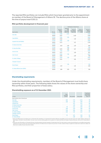<span id="page-22-0"></span> The reported RSU portfolios can include RSUs which have been granted prior to the appointment as member of the Board of Management of Allianz SE. The decisive price of the Allianz share at the time of payout was  $\in$  203.13.

|                                    |                 |                                  |                                                        | Development in financial year              |                                        |                                                |
|------------------------------------|-----------------|----------------------------------|--------------------------------------------------------|--------------------------------------------|----------------------------------------|------------------------------------------------|
| Board member                       | RSU plan        | Number of<br>RSUs on<br>1.1.2021 | Number of<br><b>RSUs</b><br>allocated in<br>March 2021 | Number of<br>RSUs settled in<br>March 2021 | Number of<br>RSUs forfeited<br>in 2021 | Number of<br>RSU <sub>s</sub> on<br>31.12.2021 |
| <b>Oliver Bäte</b>                 | LTI/ RSU        | 19,588                           | 13,972                                                 |                                            |                                        | 33,560                                         |
|                                    | AEI/RSU         | 30,347                           | ٠                                                      | 11,038                                     |                                        | 19,309                                         |
| <b>Sergio Balbinot</b>             | LTI/ RSU        | 11,001                           | 7,919                                                  |                                            |                                        | 18,920                                         |
|                                    | AEI/RSU         | 19,360                           | ä,                                                     | 7,359                                      |                                        | 12,001                                         |
|                                    | LTI/ RSU        | 10,902                           | 7,783                                                  |                                            |                                        | 18,685                                         |
| Jacqueline Hunt (until 09/2021)    | AEI/RSU         | 15,175                           | ٠                                                      | 3,417                                      |                                        | 11,758                                         |
|                                    | LTI/ RSU        |                                  |                                                        |                                            |                                        |                                                |
| Dr. Barbara Karuth-Zelle           | AEI/RSU         | 8,018                            | 2,945                                                  | 2,278                                      |                                        | 8,685                                          |
|                                    | LTI/ RSU        |                                  | 5,900                                                  |                                            |                                        | 5,900                                          |
| Dr. Klaus-Peter Röhler             | AEI/RSU         | 18,394                           | 1,809                                                  | 4,017                                      |                                        | 16,186                                         |
|                                    | <b>LTI/ RSU</b> | 9,415                            | 7,578                                                  |                                            |                                        | 16,993                                         |
| Iván de la Sota                    | AEI/RSU         | 12,177                           |                                                        | 3,200                                      |                                        | 8,977                                          |
|                                    | LTI/ RSU        | 10,604                           | 7,783                                                  |                                            |                                        | 18,387                                         |
| <b>Giulio Terzariol</b>            | AEI/RSU         | 10,445                           |                                                        | 2,599                                      |                                        | 7,846                                          |
|                                    | <b>LTI/ RSU</b> | 10,604                           | 7,783                                                  |                                            |                                        | 18,387                                         |
| Dr. Günther Thallinger             | AEI/RSU         | 14,163                           |                                                        | 2,826                                      |                                        | 11,337                                         |
|                                    | LTI/ RSU        |                                  |                                                        |                                            |                                        | ×                                              |
| <b>Christopher Townsend</b>        | AEI/RSU         |                                  |                                                        |                                            |                                        |                                                |
|                                    | <b>LTI/ RSU</b> |                                  | 7,783                                                  |                                            |                                        | 7,783                                          |
| <b>Renate Wagner</b>               | AEI/RSU         | 5,159                            |                                                        | 1,341                                      |                                        | 3,818                                          |
|                                    | <b>LTI/ RSU</b> |                                  |                                                        |                                            |                                        |                                                |
| Dr. Andreas Wimmer (since 10/2021) | AEI/RSU         | 4,808                            | 4,250                                                  | 1,452                                      |                                        | 7,606                                          |
|                                    |                 |                                  |                                                        |                                            |                                        |                                                |

## **RSU portfolio development in financial year**

# **Shareholding requirements**

 Under the shareholding requirements, members of the Board of Management must build share ownership within three years. The following table shows the values of the share ownership and RSU portfolios, and their proportion of base salary.

## **Shareholding exposure as of 31 December 2021**

| in $\epsilon$ thou                     | Share-<br>ownership<br>portfolio <sup>1</sup> | RSU portfolio <sup>2</sup> | Total portfolio | Proportion of<br>total portfolio<br>value of base<br>salary in % |
|----------------------------------------|-----------------------------------------------|----------------------------|-----------------|------------------------------------------------------------------|
| Board members active in financial year |                                               |                            |                 |                                                                  |
| Oliver Bäte                            | 3,802                                         | 9,734                      | 13,536          | 708                                                              |
| Sergio Balbinot                        | 1,086                                         | 5,760                      | 6,846           | 702                                                              |
| Jacqueline Hunt                        |                                               | 5,671                      | 5,671           | 582                                                              |
| Dr. Barbara Karuth-Zelle               |                                               | 1,644                      | 1,644           | 169                                                              |
| Dr. Klaus-Peter Röhler                 | 314                                           | 4,131                      | 4,445           | 456                                                              |
| Ivan de la Sota                        | 1,086                                         | 4,799                      | 5,885           | 604                                                              |
| <b>Giulio Terzariol</b>                | 1,086                                         | 4,806                      | 5,892           | 604                                                              |
| Dr. Günther Thallinger                 | 1,806                                         | 5,530                      | 6,616           | 679                                                              |
| <b>Christopher Townsend</b>            |                                               |                            |                 | ٠                                                                |
| <b>Renate Wagner</b>                   | 471                                           | 2,073                      | 2,544           | 261                                                              |
| <b>Dr. Andreas Wimmer</b>              |                                               | 1,400                      | 1,400           | 144                                                              |

1\_Based on the XETRA closing price of the Allianz share as of 30 December 2021. Shareholdings as of 31 December 2021: Oliver Bäte: 18,309 shares; Sergio Balbinot, Iván de la Sota, Giulio Terzariol and Dr. Günther Thallinge -<br>Renate Wagner: 2,270 shares, Dr. Klaus-Peter Röhler: 1,513 shares. As part of the share ownership guideline, the first acquisition for Dr. Barbara Karuth-Zelle and Christopher Townsend will take place in 2022, and for Dr 2023.

2\_Based on fair value of RSU portfolio as of 31 December 2021 shown in the table reporting the share-based compensation. The determination of the LTI fair values is based on an option pricing model taking into account addi including the term structure of interest rates and the expected relative performance of the Allianz share price compared to the peer index. For the latter, simulation techniques are applied at the valuation date to determi Allianz stock, the volatility of the peer index and their correlation.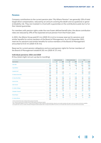## <span id="page-23-0"></span>**Pensions**

 Company contributions to the current pension plan "My Allianz Pension" are generally 15% of total target direct compensation, reduced by an amount covering the death and occupational or general disability risk. They are invested in a fund with a guarantee on the contributions paid, but no further interest guarantee.

 For members with pension rights under the now frozen defined benefit plan, the above contribution rates are reduced by 19% of the expected annual pension from that frozen plan.

 In 2021, the Allianz Group paid € 5 mn (2020: € 6 mn) to increase reserves for pensions and similar benefits for active members of the Board of Management. As of 31 December 2021, reserves for pensions and similar benefits for active members of the Board of Management amounted to €33 mn (2020:  $€ 35$  mn).

 Reserves for current pension obligations and accrued pension rights for former members of the Board of Management totaled € 201 mn (2020: € 171 mn).

## **Individual pensions: 2021 and 2020**

 $\epsilon$  thou (total might not sum up due to rounding)

|                              |      | Current pension plan     |                  | Previous pension plans <sup>1</sup> |                  | Total           |                  |
|------------------------------|------|--------------------------|------------------|-------------------------------------|------------------|-----------------|------------------|
| Board members                |      | SC <sup>2</sup>          | DBO <sup>3</sup> | SC <sup>2</sup>                     | DBO <sup>3</sup> | SC <sup>2</sup> | DBO <sup>3</sup> |
|                              | 2021 | 878                      | 4,830            | 172                                 | 5,494            | 1,050           | 10,324           |
| <b>Oliver Bäte</b>           | 2020 | 812                      | 3,765            | 229                                 | 5,638            | 1,041           | 9,403            |
|                              | 2021 | 465                      | 2,885            | 2                                   | 45               | 467             | 2,930            |
| Sergio Balbinot              | 2020 | 464                      | 2,354            | 8                                   | 46               | 472             | 2,400            |
|                              | 2021 | 344                      |                  |                                     | ٠                | 344             | $\sim$           |
| Jacqueline Hunt <sup>4</sup> | 2020 | 458                      | 1,720            |                                     |                  | 458             | 1,720            |
| Dr. Barbara Karuth-Zelle     | 2021 | 353                      | 1,115            | 45                                  | 1,091            | 398             | 2,206            |
|                              | 2020 |                          |                  | ÷,                                  |                  | ×               | ×                |
| Dr. Klaus-Peter Röhler       | 2021 | 461                      | 1,826            | 79                                  | 2,466            | 540             | 4,292            |
|                              | 2020 | 346                      | 1,302            | 44                                  | 2,519            | 390             | 3,821            |
| Iván de la Sota              | 2021 | 462                      | 1,708            | 73                                  | 635              | 535             | 2,343            |
|                              | 2020 | 462                      | 1,197            | 98                                  | 617              | 560             | 1,814            |
| <b>Giulio Terzariol</b>      | 2021 | 461                      | 1,950            | 104                                 | 1,481            | 565             | 3,431            |
|                              | 2020 | 462                      | 1,427            | 94                                  | 1,464            | 556             | 2,891            |
| Dr. Günther Thallinger       | 2021 | 465                      | 2,484            | 83                                  | 1,779            | 548             | 4,263            |
|                              | 2020 | 464                      | 1,927            | 71                                  | 1,933            | 535             | 3,860            |
| <b>Christopher Townsend</b>  | 2021 | 412                      | 417              |                                     |                  | 412             | 417              |
|                              | 2020 | $\overline{\phantom{a}}$ |                  | ٠                                   | ٠                |                 | $\alpha$         |
|                              | 2021 | 464                      | 1,182            | 63                                  | 247              | 527             | 1,429            |
| <b>Renate Wagner</b>         | 2020 | 464                      | 683              | 13                                  | 265              | 477             | 948              |
| Dr. Andreas Wimmer           | 2021 | 42                       | 836              | 9                                   | 289              | 51              | 1,125            |
|                              | 2020 |                          |                  |                                     |                  |                 |                  |
|                              |      |                          |                  |                                     |                  |                 |                  |

1\_Previous closed and frozen plans, including transition payment for Oliver Bäte.

2\_SC = service cost. Service costs are calculatory costs for the DBO related to the business year reported.

3\_DBO = Defined Benefit Obligation, end of year. The figures show the obligation for Allianz resulting from defined benefit plans, taking into account realistic assumptions with regard to interest rate, dynamics and biomet 4. As Jacqueline Hunt`s service as a member of the Board of Management ended 30 September 2021, her employer-financed DBO of € 2,215 thou as of 31 December 2021 is taken into account under the former board members.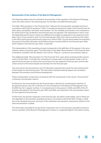#### <span id="page-24-0"></span>**Remuneration of the members of the Board of Management**

 The following tables show the individual remuneration of the members of the Board of Management who were active in the reporting year, for the 2021 and 2020 financial years.

 The table "Remuneration In The Financial Year" features the remuneration awarded and due in accordance with § 162 (1) sentence 1 AktG. It includes the payments made in the financial year for base salary, perquisites, and other remuneration. For the variable remuneration, the components for performance fully rendered in the financial year are reported. This requirement is met in case the applicable performance criteria are fulfilled and conditions subsequent and suspensive have been met or have ceased to exist. For the financial year 2021, this is the annual bonus that refers to the 2021 performance period and is paid out in March 2022. For the share-based renumeration, the payout of the RSU allocation of the Allianz Equity Incentive (AEI) for the financial year 2016, which vested in the financial year 2021, is reported.

 This interpretation of the awarding concept corresponds to the definition of the payout in the remuneration reports of previous years. The information in the table "Remuneration In The Financial Year" is therefore consistent with the details in the column "Payout" in previous remuneration reports.

 The additional table "Renumeration For The Financial Year" goes above and beyond the requirements of § 162 AktG. It includes the contributions to base salary and perquisites made in the respective financial year as well as the annual bonus for the respective financial year and the allocation amount of the share-based remuneration for the financial year.

 The amounts for the annual bonus and LTI allocation reported here result from the achievement of the targets for the financial year. The information therefore directly depicts the correlation between remuneration and business development.

 These compensation components correspond with the components in the column "Actual Grant" in previous remuneration reports.

 Furthermore, the remuneration for the financial year is decisive for reviewing the retention of the general payout cap of € 11,750 thou for the Chairperson of the Board of Management and € 6,000 thou for a regular member. It is reviewed prior to the payout in 2026 and 2025 of the LTI tranches allocated for the financial year 2021 and 2020, and reported in the remuneration report for the respective financial year.

 Furthermore, the pension expenses in the financial year are listed in both tables, even if these are not regarded as remuneration awarded and due in accordance with § 162 AktG. Finally, in addition to the absolute amounts, the share of the individual remuneration components relative to the total remuneration is stated.

 The information provided for by the Stock Corporation Act on remuneration awarded and due to former members of the Board of Management is shown in a separate table for the sake of clarity.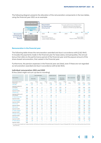<span id="page-25-0"></span> The following diagram presents the allocation of the remuneration components in the two tables, using the financial year 2021 as an example:



## **Remuneration in the financial year**

 The following table shows the remuneration awarded and due in accordance with § 162 AktG. It includes the payments made in the financial year for base salary and perquisites, the annual bonus that refers to the performance period of the financial year and the payout amount of the share-based remuneration, that vested in the financial year.

 Furthermore, the pension expenses in the financial year are listed, even if these are not regarded as remuneration awarded and due in accordance with § 162 AktG.

## **Individual remuneration: 2021 and 2020**

€ thou (total might not sum up due to rounding)

|                                                                                                                                                                                                                                |      | Fixed compensation |                      |                |                      |        | Variable short-term  |        |                             | Variable long-term |                      |                                       | Total                      |        |
|--------------------------------------------------------------------------------------------------------------------------------------------------------------------------------------------------------------------------------|------|--------------------|----------------------|----------------|----------------------|--------|----------------------|--------|-----------------------------|--------------------|----------------------|---------------------------------------|----------------------------|--------|
| Board members                                                                                                                                                                                                                  |      |                    | <b>Base salary</b>   |                | Perquisites          |        | Annual bonus         |        | Share-based<br>compensation |                    | Other compensation   | compens<br>ation acc<br>\$162<br>AktG | Pension<br>service<br>cost | Total  |
| Board members active in<br>financial year                                                                                                                                                                                      |      | € thou             | in % of<br><b>TC</b> | € thou         | in % of<br><b>TC</b> | € thou | in % of<br><b>TC</b> | € thou | in % of<br><b>TC</b>        | € thou             | in % of<br><b>TC</b> | € thou                                | € thou                     | € thou |
| <b>Oliver Bäte</b>                                                                                                                                                                                                             | 2021 | 1,911              | 32                   | 11             |                      | 1.748  | 30                   | 2,242  | 38                          |                    |                      | 5,912                                 | 1,050                      | 6,961  |
| Appointed: 01/2008; CEO<br>since 05/2015                                                                                                                                                                                       | 2020 | 1,706              | 32                   | 11             |                      | 1,257  | 23                   | 2,375  | 44                          |                    |                      | 5,350                                 | 1,041                      | 6,391  |
| <b>Sergio Balbinot</b>                                                                                                                                                                                                         | 2021 | 975                | 28                   | 91             | $\overline{3}$       | 892    | 26                   | 1,495  | 43                          |                    | ż                    | 3,453                                 | 467                        | 3,920  |
| Appointed: 01/2015                                                                                                                                                                                                             | 2020 | 975                | 27                   | 74             | $\overline{2}$       | 713    | 20                   | 1,883  | 52                          |                    | à,                   | 3,644                                 | 472                        | 4,116  |
| Jacqueline Hunt <sup>1</sup>                                                                                                                                                                                                   | 2021 | 975                | 41                   | 14             | 1                    | 673    | 29                   | 694    | 29                          |                    |                      | 2,357                                 | 344                        | 2,700  |
| Appointed: 07/2016; end of<br>service 09/2021                                                                                                                                                                                  | 2020 | 975                | 57                   | 23             | $\mathbf{1}$         | 700    | 41                   |        |                             |                    |                      | 1,699                                 | 458                        | 2,156  |
| Dr. Barbara Karuth-Zelle                                                                                                                                                                                                       | 2021 | 975                | 52                   | 11             | $\mathbf{1}$         | 875    | 47                   |        |                             |                    |                      | 1,861                                 | 398                        | 2,258  |
| Appointed: 01/2021                                                                                                                                                                                                             | 2020 |                    |                      |                |                      |        |                      |        |                             |                    |                      |                                       |                            |        |
| Dr. Klaus-Peter Röhler                                                                                                                                                                                                         | 2021 | 975                | 52                   | 30             | $\overline{2}$       | 883    | 47                   |        |                             |                    |                      | 1,888                                 | 540                        | 2,428  |
| Appointed: 04/2020                                                                                                                                                                                                             | 2020 | 731                | 57                   | 23             | $\overline{c}$       | 531    | 41                   |        |                             |                    |                      | 1,285                                 | 390                        | 1,675  |
| Iván de la Sota                                                                                                                                                                                                                | 2021 | 975                | 54                   | 15             | 1                    | 824    | 45                   |        |                             |                    |                      | 1,814                                 | 535                        | 2,349  |
| Appointed: 04/2018                                                                                                                                                                                                             | 2020 | 975                | 57                   | 60             | $\overline{3}$       | 682    | 40                   |        |                             |                    |                      | 1,717                                 | 560                        | 2,277  |
| <b>Giulio Terzariol</b>                                                                                                                                                                                                        | 2021 | 975                | 52                   | 20             | 1                    | 875    | 47                   |        |                             |                    |                      | 1,870                                 | 565                        | 2,435  |
| Appointed: 01/2018                                                                                                                                                                                                             | 2020 | 975                | 58                   | 18             | $\mathbf{1}$         | 700    | 41                   |        |                             |                    |                      | 1,694                                 | 556                        | 2,250  |
| Dr. Günther Thallinger                                                                                                                                                                                                         | 2021 | 975                | 53                   | $\overline{2}$ |                      | 875    | 47                   |        |                             |                    |                      | 1,852                                 | 548                        | 2,400  |
| Appointed: 01/2017                                                                                                                                                                                                             | 2020 | 975                | 58                   | $\overline{2}$ |                      | 700    | 42                   |        |                             |                    |                      | 1,678                                 | 535                        | 2,212  |
| <b>Christopher Townsend</b>                                                                                                                                                                                                    | 2021 | 975                | 51                   | 53             | $\overline{3}$       | 875    | 46                   |        |                             |                    |                      | 1,903                                 | 412                        | 2,315  |
| Appointed: 01/2021                                                                                                                                                                                                             | 2020 |                    |                      |                |                      |        |                      |        |                             |                    |                      |                                       |                            |        |
| <b>Renate Wagner</b>                                                                                                                                                                                                           | 2021 | 975                | 52                   | 25             | 1                    | 883    | 47                   |        |                             |                    |                      | 1,883                                 | 527                        | 2,410  |
| Appointed: 01/2020                                                                                                                                                                                                             | 2020 | 975                | 57                   | 32             | $\overline{2}$       | 700    | 41                   |        |                             |                    |                      | 1,708                                 | 477                        | 2,185  |
| Dr. Andreas Wimmer                                                                                                                                                                                                             | 2021 | 244                | 52                   | $\overline{2}$ |                      | 226    | 48                   |        |                             |                    |                      | 472                                   | 51                         | 522    |
| Appointed: 10/2021                                                                                                                                                                                                             | 2020 |                    |                      |                |                      |        |                      |        |                             |                    |                      |                                       |                            |        |
| 1. For reasons of clarity, Jacqueline Hunt's complete renumeration in the financial year is reported here. Her pro-rated base salary for the period from 1 January to 30 September 2021 is 731 € thou. The pro-rated annual bo |      |                    |                      |                |                      |        |                      |        |                             |                    |                      |                                       |                            |        |

period is 503 € thou.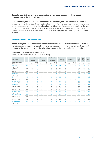# <span id="page-26-0"></span>**Compliance with the maximum remuneration principles on payouts for share-based remuneration in the financial year 2021**

 In the financial year 2021, the RSU tranches for the financial year 2016, allocated in March 2017, were paid out to Oliver Bäte, Sergio Balbinot and Jacqueline Hunt. According to the remuneration system applicable at the time of the allocation, the RSU payout is capped at 200% above the grant price. During the term of the AEI/RSU 2017 tranche, the decisive price of the Allianz share rose from € 165.55 to € 203.13. The increase, and therefore the payout, remained significantly below this cap.

## **Remuneration for the financial year**

 The following table shows the remuneration for the financial year. It contains the variable remuneration amounts resulting directly from the target achievement of the financial year: the payout amount of the annual bonus and the allocation amount of the LTI grant for the financial year.

# **Individual remuneration: 2021 and 2020**

€ thou (total might not sum up due to rounding)

|                                               |      |             | Fixed compensation   |                |                      | Variable short-term<br>Variable long-term |                      |        |                             |        |                      | Total  | Pension<br>service<br>cost |        |
|-----------------------------------------------|------|-------------|----------------------|----------------|----------------------|-------------------------------------------|----------------------|--------|-----------------------------|--------|----------------------|--------|----------------------------|--------|
| <b>Board members</b>                          |      | Base salary |                      | Perquisites    |                      |                                           | Annual bonus         |        | Share-based<br>compensation |        | Other compensation   |        |                            | Total  |
| Board members active in<br>financial year     |      | € thou      | in % of<br><b>TC</b> | € thou         | in % of<br><b>TC</b> | € thou                                    | in % of<br><b>TC</b> | € thou | in % of<br><b>TC</b>        | € thou | in % of<br><b>TC</b> | € thou | € thou                     | € thou |
| <b>Oliver Bäte</b>                            | 2021 | 1,911       | 28                   | 11             |                      | 1,748                                     | 26                   | 3,145  | 46                          |        |                      | 6,815  | 1,050                      | 7,864  |
| Appointed: 01/2008; CEO<br>since 05/2015      | 2020 | 1,706       | 32                   | 11             |                      | 1,257                                     | 24                   | 2,348  | 44                          |        |                      | 5,323  | 1,041                      | 6,364  |
| <b>Sergio Balbinot</b>                        | 2021 | 975         | 27                   | 91             | 3                    | 892                                       | 25                   | 1,605  | 45                          |        |                      | 3,563  | 467                        | 4,030  |
| Appointed: 01/2015                            | 2020 | 975         | 31                   | 74             | $\overline{2}$       | 713                                       | 23                   | 1,345  | 43                          |        |                      | 3,107  | 472                        | 3,578  |
| Jacqueline Hunt                               | 2021 | 975         | 34                   | 14             | 1                    | 673                                       | 23                   | 1,211  | 42                          |        |                      | 2,874  | 344                        | 3,217  |
| Appointed: 07/2016; end of<br>service 09/2021 | 2020 | 975         | 32                   | 23             | 1                    | 700                                       | 23                   | 1,324  | 44                          |        |                      | 3,023  | 458                        | 3,481  |
| Dr. Barbara Karuth-Zelle                      | 2021 | 975         | 28                   | 11             |                      | 875                                       | 25                   | 1,574  | 46                          |        |                      | 3,435  | 398                        | 3,833  |
| Appointed: 01/2021                            | 2020 |             |                      |                |                      |                                           |                      |        |                             |        |                      |        |                            |        |
| Dr. Klaus-Peter Röhler                        | 2021 | 975         | 28                   | 30             | 1                    | 883                                       | 25                   | 1,589  | 46                          |        |                      | 3,478  | 540                        | 4,018  |
| Appointed: 04/2020                            | 2020 | 731         | 32                   | 23             | $\mathbf{1}$         | 531                                       | 23                   | 1,017  | 44                          |        |                      | 2,302  | 390                        | 2,692  |
| Iván de la Sota                               | 2021 | 975         | 30                   | 15             |                      | 824                                       | 25                   | 1,483  | 45                          |        |                      | 3,298  | 535                        | 3,832  |
| Appointed: 04/2018                            | 2020 | 975         | 32                   | 60             | $\overline{2}$       | 682                                       | 23                   | 1,290  | 43                          |        |                      | 3,007  | 560                        | 3,567  |
| <b>Giulio Terzariol</b>                       | 2021 | 975         | 28                   | 20             | 1                    | 875                                       | 25                   | 1,574  | 46                          |        |                      | 3,444  | 565                        | 4,009  |
| Appointed: 01/2018                            | 2020 | 975         | 32                   | 18             | 1                    | 700                                       | 23                   | 1,322  | 44                          |        |                      | 3,016  | 556                        | 3,572  |
| Dr. Günther Thallinger                        | 2021 | 975         | 28                   | $\overline{2}$ |                      | 875                                       | 26                   | 1.574  | 46                          |        |                      | 3,426  | 548                        | 3,974  |
| Appointed: 01/2017                            | 2020 | 975         | 33                   | $\overline{2}$ |                      | 700                                       | 23                   | 1,322  | 44                          |        |                      | 3,000  | 535                        | 3,535  |
| <b>Christopher Townsend</b>                   | 2021 | 975         | 28                   | 53             | $\overline{2}$       | 875                                       | 25                   | 1,574  | 45                          |        |                      | 3,477  | 412                        | 3,889  |
| Appointed: 01/2021                            | 2020 |             |                      |                |                      |                                           |                      |        |                             |        |                      |        |                            |        |
| <b>Renate Wagner</b>                          | 2021 | 975         | 28                   | 25             | 1                    | 883                                       | 25                   | 1,589  | 46                          |        |                      | 3,472  | 527                        | 4,000  |
| Appointed: 01/2020                            | 2020 | 975         | 32                   | 32             | $\mathbf{1}$         | 700                                       | 23                   | 1,324  | 44                          |        |                      | 3,032  | 477                        | 3,508  |
| <b>Dr. Andreas Wimmer</b>                     | 2021 | 244         | 28                   | $\overline{2}$ |                      | 226                                       | 26                   | 407    | 46                          |        |                      | 879    | 51                         | 929    |
| Appointed: 10/2021                            | 2020 |             |                      |                |                      |                                           |                      |        |                             |        |                      |        |                            |        |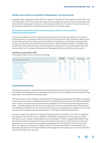## <span id="page-27-0"></span>**Members who retired from the Board of Management in the reporting year**

 Jacqueline Hunt resigned from her office as member of the Board of Management with effect from 1 October 2021. The remuneration principles of the employment contract remain unchanged until the end of the employment contract as at 31 December 2022. For the sake of clarity, the amounts are therefore reported for the full financial year 2021 in the tables above.

# **Remuneration awarded and due in the financial year 2021 for former members of the Board of Management**

 The following table shows the components awarded and due to former members of the Board of Management in accordance with § 162 AktG in the financial year 2021, and their relative share of total remuneration. According to § 162 (5) AktG, the reporting is at individual employee level for up to 10 years after the end of the financial year in which the board member in question has ended their activity. Remuneration awarded and due totaling € 4 mn were awarded in the financial year 2021 to 13 members of the Board of Management that had left before this period.

## **Individual remuneration: 2021**

 $\epsilon$  thou (total might not sum up due to rounding)

| Former members of the Board of Management | Share-based<br>compensation |                  | Pensions        |                  | Other compensation |                  | Total  |  |
|-------------------------------------------|-----------------------------|------------------|-----------------|------------------|--------------------|------------------|--------|--|
|                                           | € thou                      | in % of<br>total | $\epsilon$ thou | in % of<br>total | € thou             | in % of<br>total | € thou |  |
| Dr. Christof Mascher (until 12/2020)      | 1,324                       | 91               | 128             | 9                | ٠                  | ٠                | 1,452  |  |
| Dr. Axel Theis (until 03/2020)            | 1,481                       | 84               | 292             | 16               |                    | ÷                | 1,773  |  |
| Dr. Helga Jung (until 12/2019)            | 1,352                       | 100              |                 | ٠                |                    | ٠                | 1,354  |  |
| Dr. Dieter Wemmer (until 12/2017)         | 1,452                       | 94               | 92              | b.               |                    | ٠                | 1,544  |  |
| Dr. Werner Zedelius (until 12/2017)       | 1,452                       | 76               | 467             | 24               | ٠                  | ٠                | 1,919  |  |
| Dr. Maximilian Zimmerer (until 12/2016)   | 1,495                       | 64               | 858             | 36               |                    | ٠                | 2,353  |  |
| Manuel Bauer (08/2015)                    |                             |                  | 132             | 100              |                    |                  | 132    |  |
| Michael Diekmann (04/2015)                | $\sim$                      | ٠.               | 658             | 100              | ٠                  | ٠                | 658    |  |
| Clement Booth (12/2014)                   | $\sim$                      | ٠                | 147             | 100              | $\sim$             | ٠                | 147    |  |
| Dr. Paul Achleitner (05/2012)             |                             | <b>COL</b>       | 337             | 100              |                    | $\sim$           | 337    |  |

## **Comparative presentation**

 The following overview compares the annual development of the remuneration of the members of the Board of Management, the average remuneration of the employees, and selected earnings parameters over the last five financial years.

 The remuneration of the members of the Board of Management presented in the table corresponds to the total remuneration rewarded and due in the respective financial year. The earnings development is shown using the two key performance indicators for the Group's financial target achievement – operating profit and net income, as well as net income as reported in the individual financial statements of Allianz SE. The workforce of the German companies of the Allianz Group is used to present the average employee remuneration on the basis of full-time equivalents.

 It must be noted with regard to the Board of Management remuneration from 2017 to 2018 that the payout for the mid-term bonus (MTB) for 2016-2018 is reported in the financial year 2018. The year-on-year change in Sergio Balbinot's remuneration in 2020 is largely attributable to the fact that he received a payout from the share-based compensation for the first time in this year. Jacqueline Hunt received the share-based compensation for the first time in the financial year 2021. The significant change from 2020 to 2021 in Dr. Klaus-Peter Röhler's remuneration is explained by the fact that he joined the Board of Management during the year, so the remuneration reported for 2020 is pro rata only.

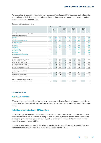<span id="page-28-0"></span> Remuneration awarded and due to former members of the Board of Management for the financial years following their departure comprises mainly pension payments, share-based compensation payouts and other remuneration.

#### **Comparative presentation**

|                                                    | Development of Board of Management compensation, profit and average compensation of employees |                                |       |                                   |       |                                      |       |                                      |       |  |
|----------------------------------------------------|-----------------------------------------------------------------------------------------------|--------------------------------|-------|-----------------------------------|-------|--------------------------------------|-------|--------------------------------------|-------|--|
| Financial year                                     | 2017                                                                                          | Change<br>2017 to<br>2018 in % | 2018  | Change<br>2018 to<br>2019 in<br>% | 2019  | Change<br>2019 to<br>2020 in<br>$\%$ | 2020  | Change<br>2020 to<br>2021 in<br>$\%$ | 2021  |  |
| Board of management compensation in € thou         |                                                                                               |                                |       |                                   |       |                                      |       |                                      |       |  |
| Board members active in financial year             |                                                                                               |                                |       |                                   |       |                                      |       |                                      |       |  |
| Oliver Bäte                                        | 4,361                                                                                         | 121                            | 9,634 | (47)                              | 5,058 | $\ddot{\mathbf{6}}$                  | 5,350 | 11                                   | 5,912 |  |
| <b>Sergio Balbinot</b>                             | 1,704                                                                                         | 181                            | 4.793 | (58)                              | 2.030 | 80                                   | 3.644 | (5)                                  | 3,453 |  |
| Jacqueline Hunt (end of service 09/2021)           | 1,691                                                                                         | 145                            | 4,135 | (52)                              | 1,967 | (14)                                 | 1,699 | 39                                   | 2,357 |  |
| Dr. Barbara Karuth-Zelle                           |                                                                                               |                                |       |                                   |       |                                      |       |                                      | 1,861 |  |
| Dr. Klaus-Peter Röhler                             |                                                                                               |                                |       |                                   |       |                                      | 1,285 | 47                                   | 1,888 |  |
| Iván de la Sota                                    |                                                                                               |                                | 1,967 | (7)                               | 1,833 | (6)                                  | 1,717 | h                                    | 1,814 |  |
| <b>Giulio Terzariol</b>                            |                                                                                               |                                | 2.622 | (26)                              | 1.946 | (13)                                 | 1,694 | 10                                   | 1,870 |  |
| Dr. Günther Thallinger                             | 1,609                                                                                         | 122                            | 3,568 | (46)                              | 1,926 | (13)                                 | 1,678 | 10                                   | 1,852 |  |
| <b>Christopher Townsend</b>                        |                                                                                               |                                |       |                                   |       |                                      |       |                                      | 1,903 |  |
| <b>Renate Wagner</b>                               |                                                                                               |                                |       |                                   |       |                                      | 1,708 | 10                                   | 1,883 |  |
| Dr. Andreas Wimmer (appointed: 10/2021)            |                                                                                               |                                |       |                                   |       |                                      |       |                                      | 472   |  |
| Former members                                     |                                                                                               |                                |       |                                   |       |                                      |       |                                      |       |  |
| Dr. Christof Mascher (end of service 12/2020)      | 3,854                                                                                         | 55                             | 5,989 | (44)                              | 3,356 | (2)                                  | 3,285 | (56)                                 | 1,452 |  |
| Niran Peiris (end of service 12/2020)              |                                                                                               |                                | 2,662 | (35)                              | 1,730 | (13)                                 | 1,507 |                                      |       |  |
| Dr. Axel Theis (end of service 03/2020)            | 1,662                                                                                         | 185                            | 4.729 | (58)                              | 1.988 | 21                                   | 2.405 | (26)                                 | 1,773 |  |
| Dr. Helga Jung (end of service 12/2019)            | 3,279                                                                                         | 93                             | 6,313 | (50)                              | 3,135 | (54)                                 | 1,428 | (5)                                  | 1,354 |  |
| Dr. Dieter Wemmer (end of service 12/2017)         | 3,505                                                                                         | 6                              | 3,724 | (56)                              | 1,655 | 15                                   | 1,902 | (19)                                 | 1,544 |  |
| Dr. Werner Zedelius (end of service 12/2017)       | 3,337                                                                                         | 22                             | 4,083 | (35)                              | 2,640 | (14)                                 | 2,268 | (15)                                 | 1,919 |  |
| Profit development in € billion                    |                                                                                               |                                |       |                                   |       |                                      |       |                                      |       |  |
| Operating profit                                   | 11.10                                                                                         | 4                              | 11.51 | $\overline{3}$                    | 11.86 | (9)                                  | 10.75 | 25                                   | 13.40 |  |
| Net income attributable to shareholders            | 6.80                                                                                          | 10                             | 7.46  | 6                                 | 7.91  | (14)                                 | 6.81  | (3)                                  | 6.61  |  |
| Net income acc. AZ SE financial statement          | 3.67                                                                                          | 46                             | 5.36  | (14)                              | 4.60  |                                      | 4.61  | 16                                   | 5.35  |  |
| Average employee compensation in € thou            |                                                                                               |                                |       |                                   |       |                                      |       |                                      |       |  |
| Average compensation based on full-time equivalent | 85                                                                                            | (2)                            | 83    | 4                                 | 86    | (6)                                  | 81    | 4                                    | 84    |  |

# **Outlook for 2022**

#### **New board members**

 Effective 1 January 2022, Sirma Boshnakova was appointed to the Board of Management. Her remuneration has been set at the same level as the other regular members of the Board of Management.

#### **Individual contribution factor (ICF) structure**

 In determining the targets for 2022, even greater account was taken of the increased importance of sustainability issues. In addition to group-wide sustainability targets, individual environmental, social and governance targets were set for each member of the Board of Management for their respective areas of responsibility.

 In order to take better account of this when assessing the target achievement, the individual contribution factor was also restructured with effect from 1 January 2022.

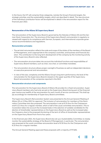<span id="page-29-0"></span> In the future, the ICF will comprise three categories, namely the Group's financial targets, the strategic priorities, and the sustainability targets, which are described in detail. The new structure of the individual contribution factor will be explained in detail in the remuneration report for the financial year 2022.

## **Remuneration of the Allianz SE Supervisory Board**

 The remuneration of the Supervisory Board is governed by the Statutes of Allianz SE and the German Stock Corporation Act. The structure of the Supervisory Board's remuneration is regularly reviewed with regard to its compliance with German, European, and international corporate governance recommendations and regulations.

## **Remuneration principles**

- The set total remuneration reflects the scale and scope of the duties of the members of the Board of Management, and is appropriate to the company's activities, and business and financial situation. The contribution to the long-term development of the company by the monitoring activity of the Supervisory Board is also reflected.
- The remuneration structure takes into account the individual functions and responsibilities of Supervisory Board members, such as chair, vice chair, or committee mandates.
- The remuneration structure allows proper oversight of business as well as independent decisions on executive personnel and remuneration.
- In view of the size, complexity and the Allianz Group's long-term performance, the level of the remuneration for the Supervisory Board is based on the upper quartile of the Supervisory Board remuneration of the companies reported in the DAX.

## **Remuneration structure and components**

 The remuneration for the Supervisory Board of Allianz SE provides for a fixed remuneration. Supervisory Board members who had only served on the Supervisory Board during part of the financial year receive one twelfth of the remuneration for each month of service commenced. This shall apply accordingly for membership of Supervisory Board committees.

 The Supervisory Board's Remuneration System was presented to the Annual General Meeting of Allianz SE on 5 May 2021 for approval. The inclusion of remuneration for members of the Nomination Committee was also proposed. The remuneration is set at € 25 thou for the Chairperson and € 12.5 thou for a regular member, which is half of the usual committee remuneration. This remuneration takes into account the increased tasks in the selection of suitable candidates for the election of shareholder representatives on the Supervisory Board as well as the increased selection frequency due to the proposed shortening of the term of office of shareholder representatives on the Supervisory Board from five to four years.

 In the financial year 2021, the Supervisory Board also set up a Sustainability Committee, to closely monitor the sustainability strategy of the Board of Management, in particular. The remuneration was proposed at the usual committee remuneration level of  $\epsilon$  50 thou for the Chairperson and € 25 thou for a regular member.

The Annual General Meeting approved these proposals with a majority of 97.56%.

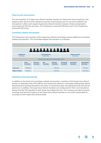## <span id="page-30-0"></span>**Fixed annual remuneration**

 The remuneration of a Supervisory Board member consists of a fixed cash amount paid pro rata temporis after the end of the respective quarter of the business year for services rendered over that period. In 2021, each regular Supervisory Board member received a fixed compensation amounting to € 125 thou per year. The Chairperson received € 250 thou, each Vice Chairperson received  $\epsilon$  187.5 thou.

# **Committee-related remuneration**

 The Chairperson and members of the Supervisory Board committees receive additional committeerelated remuneration. The committee-related remuneration is as follows:

| <b>FIXED ANNUAL REMUNERATION</b>                                                                                   |                                                         |                                      |                          |                                     |                                |                                       |                                    |  |  |  |  |
|--------------------------------------------------------------------------------------------------------------------|---------------------------------------------------------|--------------------------------------|--------------------------|-------------------------------------|--------------------------------|---------------------------------------|------------------------------------|--|--|--|--|
| <u> 22222222222</u>                                                                                                |                                                         |                                      |                          |                                     |                                |                                       |                                    |  |  |  |  |
| <b>Vice Chairperson</b><br><b>Regular member</b><br><b>Chairperson</b><br>€ 250 thou<br>€ 187.5 thou<br>€ 125 thou |                                                         |                                      |                          |                                     |                                |                                       |                                    |  |  |  |  |
| <b>COMMITTEE-RELATED REMUNERATION</b>                                                                              |                                                         |                                      |                          |                                     |                                |                                       |                                    |  |  |  |  |
|                                                                                                                    | <b>Audit</b><br><b>Committee</b>                        | <b>Personnel</b><br><b>Committee</b> | <b>Risk</b><br>Committee | <b>Standing</b><br><b>Committee</b> | <b>Technology</b><br>Committee | <b>Nomination</b><br><b>Committee</b> | <b>Sustainability</b><br>Committee |  |  |  |  |
| <b>Chairperson</b>                                                                                                 | $\epsilon$ 100 thou                                     |                                      | $\epsilon$ 50 thou       |                                     |                                |                                       |                                    |  |  |  |  |
| <b>Regular member</b>                                                                                              | $\epsilon$ 25 thou<br>€ 12.5 thou<br>$\epsilon$ 50 thou |                                      |                          |                                     |                                |                                       |                                    |  |  |  |  |

# **Attendance fees and expenses**

 In addition to the fixed and committee-related remuneration, members of the Supervisory Board receive an attendance fee of €1,000 for each Supervisory Board or committee meeting they attend. Should several meetings be held on the same or consecutive days, the attendance fee will only be paid once. In addition, the Supervisory Board members are reimbursed for their out-of-pocket expenses and the VAT payable on their Supervisory Board service. The company provides insurance coverage and technical support to the Supervisory Board members to an extent reasonable for carrying out their Supervisory Board duties.

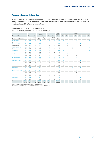# <span id="page-31-0"></span>**Remuneration awarded and due**

The following table shows the remuneration awarded and due in accordance with § 162 AktG. It comprises the fixed remuneration, committee remuneration and attendance fees as well as their relative share of the total remuneration.

## **Individual remuneration: 2021 and 2020**

€ thou (total might not sum up due to rounding)

| Members of the Supervisory Board                                                            |      |                    |                  |                           |                  |                 | Total            | Committees <sup>1</sup> |              |   |         |           |         |   |    |
|---------------------------------------------------------------------------------------------|------|--------------------|------------------|---------------------------|------------------|-----------------|------------------|-------------------------|--------------|---|---------|-----------|---------|---|----|
|                                                                                             |      | Fixed remuneration |                  | Committee<br>remuneration |                  | Attendance fees |                  | remuner<br>ation        | Α            | N | $\sf P$ | ${\sf R}$ | $\sf S$ | T | SU |
| Members active in financial year                                                            |      | € thou             | in % of<br>total | € thou                    | in % of<br>total | € thou          | in % of<br>total | € thou                  |              |   |         |           |         |   |    |
| <b>Michael Diekmann</b>                                                                     | 2021 | 250.0              | 47               | 272.9                     | 51               | 8.0             | $\overline{2}$   | 530.9                   | M            | C | C       | C         | C       | M | M  |
| (Chairperson)                                                                               | 2020 | 250.0              | 51               | 225.0                     | 46               | 11.0            | $\overline{2}$   | 486.0                   | M            | C | C       | C         | C       | M |    |
| <b>Jim Hagemann Snabe</b>                                                                   | 2021 | 187.5              | 68               | 87.5                      | 32               | 1.0             | ÷                | 276.0                   |              | M |         |           | M       | C |    |
| (Vice Chairperson)                                                                          | 2020 | 187.5              | 70               | 75.0                      | 28               | 4.0             | 2                | 266.5                   |              | М |         |           | М       | С |    |
| <b>Gabriele Burkhardt-Berg</b>                                                              | 2021 | 187.5              | 72               | 72.9                      | 28               | 1.0             |                  | 261.4                   |              |   | M       |           |         | M | M  |
| (Vice Chairperson)                                                                          | 2020 | 187.5              | 78               | 50.0                      | 21               | 3.0             | $\mathbf{1}$     | 240.5                   |              |   | M       |           |         | M |    |
| <b>Sophie Boissard</b>                                                                      | 2021 | 125.0              | 62               | 72.9                      | 36               | 3.0             | $\mathbf{1}$     | 200.9                   | M            |   |         |           |         |   | M  |
|                                                                                             | 2020 | 125.0              | 70               | 50.0                      | 28               | 3.0             | $\overline{2}$   | 178.0                   | M            |   |         |           |         |   |    |
| <b>Christine Bosse</b>                                                                      | 2021 | 125.0              | 60               | 83.3                      | 40               | 1.0             | $\sim$           | 209.3                   |              | M |         | M         |         |   |    |
|                                                                                             | 2020 | 125.0              | 82               | 25.0                      | 16               | 3.0             | $\overline{2}$   | 153.0                   |              | M |         | M         |         |   |    |
| Dr. Friedrich Eichiner                                                                      | 2021 | 125.0              | 45               | 150.0                     | 54               | 3.0             | $\mathbf{1}$     | 278.0                   | C            |   |         | M         |         | M |    |
|                                                                                             | 2020 | 125.0              | 44               | 150.0                     | 53               | 6.0             | $\overline{2}$   | 281.0                   | $\mathsf{C}$ |   |         | M         |         | M |    |
| Jean-Claude Le Goaër                                                                        | 2021 | 125.0              | 62               | 75.0                      | 37               | 3.0             | $\mathbf{1}$     | 203.0                   | M            |   |         |           | M       |   |    |
|                                                                                             | 2020 | 125.0              | 62               | 75.0                      | 37               | 3.0             | $\mathbf{1}$     | 203.0                   | M            |   |         |           | M       |   |    |
| <b>Martina Grundler</b>                                                                     | 2021 | 125.0              | 71               | 50.0                      | 28               | 1.0             | $\mathbf{1}$     | 176.0                   | M            |   |         |           |         |   |    |
|                                                                                             | 2020 | 125.0              | 70               | 50.0                      | 28               | 4.0             | 2                | 179.0                   | M            |   |         |           |         |   |    |
| <b>Herbert Hainer</b>                                                                       | 2021 | 125.0              | 71               | 50.0                      | 28               | 1.0             | $\mathbf{1}$     | 176.0                   |              |   | M       |           | M       |   |    |
|                                                                                             | 2020 | 125.0              | 69               | 50.0                      | 28               | 5.0             | 3                | 180.0                   |              |   | M       |           | M       |   |    |
| <b>Godfrey Robert Hayward</b>                                                               | 2021 | 125.0              | 83               | 25.0                      | 17               |                 | ä,               | 150.0                   |              |   |         | M         |         |   |    |
|                                                                                             | 2020 | 125.0              | 82               | 25.0                      | 16               | 2.0             | $\mathbf{1}$     | 152.0                   |              |   |         | M         |         |   |    |
| <b>Frank Kirsch</b>                                                                         | 2021 | 125.0              | 72               | 47.9                      | 28               | 1.0             | $\mathbf{1}$     | 173.9                   |              |   |         | M         |         |   | M  |
|                                                                                             | 2020 | 125.0              | 81               | 25.0                      | 16               | 4.0             | 3                | 154.0                   |              |   |         | M         |         |   |    |
| Jürgen Lawrenz                                                                              | 2021 | 125.0              | 71               | 50.0                      | 28               | 1.0             | $\mathbf{1}$     | 176.0                   |              |   |         |           | M       | M |    |
|                                                                                             | 2020 | 125.0              | 70               | 50.0                      | 28               | 4.0             | 2                | 179.0                   |              |   |         |           | M       | M |    |
| Total                                                                                       | 2021 | 1,750.0            | 62               | 1,037.5                   | 37               | 24.0            | $\mathbf{1}$     | 2,811.5                 |              |   |         |           |         |   |    |
|                                                                                             | 2020 | 1,750.0            | 66               | 850.0                     | 32               | 52.0            | $\overline{2}$   | 2,652.0                 |              |   |         |           |         |   |    |
| Legend: C = Chairperson of the respective committee, M = Member of the respective committee |      |                    |                  |                           |                  |                 |                  |                         |              |   |         |           |         |   |    |

1\_Abbreviations: A = Audit, N = Nomination, P = Personnel, R = Risk, S = Standing, T = Technology, SU = Sustainability

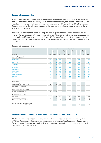## <span id="page-32-0"></span>**Comparative presentation**

 The following overview compares the annual development of the remuneration of the members of the Supervisory Board, the average remuneration of the employees, and selected earnings parameters over the last five financial years. The remuneration of the members of the Supervisory Board presented in the table corresponds to the total remuneration awarded and due in the respective financial year.

 The earnings development is shown using the two key performance indicators for the Group's financial target achievement – operating profit and net income as well as net income as reported in the individual financial statements of Allianz SE. The workforce of the German companies of the Allianz Group is used to present the average employee remuneration on the basis of full-time equivalents.

## **Comparative presentation**

| Comparative information                            | Development of Supervisory Board compensation, profit and average compensation of employees |                                |       |                                   |       |                                      |       |                                      |       |  |
|----------------------------------------------------|---------------------------------------------------------------------------------------------|--------------------------------|-------|-----------------------------------|-------|--------------------------------------|-------|--------------------------------------|-------|--|
| Financial year                                     | 2017                                                                                        | Change<br>2017 to<br>2018 in % | 2018  | Change<br>2018 to<br>2019 in<br>% | 2019  | Change<br>2019 to<br>2020 in<br>$\%$ | 2020  | Change<br>2020 to<br>2021 in<br>$\%$ | 2021  |  |
| Supervisory Board compensation in € thou           |                                                                                             |                                |       |                                   |       |                                      |       |                                      |       |  |
| Active members in financial year                   |                                                                                             |                                |       |                                   |       |                                      |       |                                      |       |  |
| <b>Michael Diekmann</b>                            | 257.0                                                                                       | 88                             | 484.0 |                                   | 484.0 |                                      | 486.0 | $\overline{Q}$                       | 530.9 |  |
| <b>Jim Hagemann Snabe</b>                          | 194.5                                                                                       | 38                             | 268.5 |                                   | 268.5 | (1)                                  | 266.5 |                                      | 276.0 |  |
| <b>Gabriele Burkhardt-Berg</b>                     | 137.1                                                                                       | 48                             | 202.8 | 20                                | 243.5 | (1)                                  | 240.5 | $\overline{Q}$                       | 261.4 |  |
| Sophie Boissard                                    | 97.1                                                                                        | 88                             | 183.0 |                                   | 184.0 | (3)                                  | 178.0 | 13                                   | 200.9 |  |
| <b>Christine Bosse</b>                             | 132.8                                                                                       | 17                             | 156.0 |                                   | 156.0 | (2)                                  | 153.0 | 37                                   | 209.3 |  |
| Dr. Friedrich Eichiner                             | 192.7                                                                                       | 47                             | 283.0 |                                   | 284.0 | (1)                                  | 281.0 | (1)                                  | 278.0 |  |
| Jean-Claude Le Goaër                               |                                                                                             |                                | 83.5  | 150                               | 209.0 | (3)                                  | 203.0 |                                      | 203.0 |  |
| <b>Martina Grundler</b>                            | 145.3                                                                                       | 26                             | 183.0 | (1)                               | 182.0 | (2)                                  | 179.0 | (2)                                  | 176.0 |  |
| <b>Herbert Hainer</b>                              | 96.4                                                                                        | 89                             | 182.0 | (1)                               | 181.0 | (1)                                  | 180.0 | (2)                                  | 176.0 |  |
| <b>Godfrey Robert Hayward</b>                      | 83.0                                                                                        | 88                             | 156.0 |                                   | 156.0 | (3)                                  | 152.0 | (1)                                  | 150.0 |  |
| <b>Frank Kirsch</b>                                |                                                                                             |                                | 52.0  | 200                               | 156.0 | (1)                                  | 154.0 | 13                                   | 173.9 |  |
| Jürgen Lawrenz                                     | 137.8                                                                                       | 31                             | 181.0 |                                   | 181.0 | (1)                                  | 179.0 | (2)                                  | 176.0 |  |
| Former members                                     |                                                                                             |                                |       |                                   |       |                                      |       |                                      |       |  |
| Rolf Zimmermann (end of service 08/2018)           | 196.2                                                                                       | (17)                           | 162.3 |                                   |       |                                      |       |                                      |       |  |
| Jean-Jacques Cette (end of service 07/2018)        | 145.3                                                                                       | (28)                           | 105.1 |                                   |       |                                      |       |                                      |       |  |
| Dante Barban (end of service 05/2017)              | 53.0                                                                                        |                                |       |                                   |       |                                      |       |                                      |       |  |
| Dr. Wulf Bernotat (end of service 05/2017)         | 106.4                                                                                       |                                | ٠     |                                   |       |                                      |       |                                      |       |  |
| Prof. Dr. Renate Köcher (end of service 05/2017)   | 52.2                                                                                        |                                |       |                                   |       |                                      |       |                                      |       |  |
| Dr. Helmut Perlet (end of service 05/2017)         | 152.2                                                                                       |                                |       |                                   |       |                                      |       |                                      |       |  |
| Profit development in € billion                    |                                                                                             |                                |       |                                   |       |                                      |       |                                      |       |  |
| Operating profit                                   | 11.10                                                                                       | $\overline{4}$                 | 11.51 | $\overline{3}$                    | 11.86 | (9)                                  | 10.75 | 25                                   | 13.40 |  |
| Net income attributable to shareholders            | 6.80                                                                                        | 10                             | 7.46  | 6                                 | 7.91  | (14)                                 | 6.81  | (3)                                  | 6.61  |  |
| Net income acc. AZ SE financial statement          | 3.67                                                                                        | 46                             | 5.36  | (14)                              | 4.60  |                                      | 4.61  | 16                                   | 5.35  |  |
| Average employee compensation in € thou            |                                                                                             |                                |       |                                   |       |                                      |       |                                      |       |  |
| Average compensation based on full-time equivalent | 85                                                                                          | (2)                            | 83    | $\overline{4}$                    | 86    | (6)                                  | 81    | 4                                    | 84    |  |

# **Remuneration for mandates in other Allianz companies and for other functions**

 Mr. Jürgen Lawrenz did not receive any remuneration for his service on the Supervisory Board of Allianz Technology SE. All current employee representatives of the Supervisory Board, except for Ms. Martina Grundler, are employed by Allianz Group companies and receive market-based remuneration for their services.

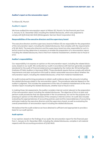## <span id="page-33-0"></span>**Auditor's report on the remuneration report**

To Allianz SE, Munich

# Auditor's report

 We have audited the remuneration report of Allianz SE, Munich, for the financial year from 1. January to 31. December 2021 including the related disclosures, which was prepared to comply with § [Article] 162 AktG [Aktiengesetz: German Stock Corporation Act].

## **Responsibilities of the executive directors and the supervisory board**

 The executive directors and the supervisory board of Allianz SE are responsible for the preparation of the remuneration report, including the related disclosures, that complies with the requirements of § 162 AktG. The executive directors and the supervisory board are also responsible for such internal control as they determine is necessary to enable the preparation of a remuneration report, including the related disclosures, that is free from material misstatement, whether due to fraud or error.

# **Auditor's responsibilities**

 Our responsibility is to express an opinion on this remuneration report, including the related disclosures, based on our audit. We conducted our audit in accordance with German generally accepted standards for the audit of financial statements promulgated by the Institut der Wirtschaftsprüfer (Institute of Public Auditors in Germany) (IDW). Those standards require that we comply with ethical requirements and plan and perform the audit to obtain reasonable assurance about whether the remuneration report, including the related disclosures, is free from material misstatement.

An audit involves performing procedures to obtain audit evidence about the amounts including the related disclosures stated in the remuneration report. The procedures selected depend on the auditor's judgment. This includes the assessment of the risks of material misstatement of the remuneration report including the related disclosures, whether due to fraud or error.

In making those risk assessments, the auditor considers internal control relevant to the preparation of the remuneration report including the related disclosures. The objective of this is to plan and perform audit procedures that are appropriate in the circumstances, but not for the purpose of expressing an opinion on the effectiveness of the company's internal control. An audit also includes evaluating the appropriateness of accounting policies used and the reasonableness of accounting estimates made by the executive directors and the supervisory board, as well as evaluating the overall presentation of remuneration report including the related disclosures.

We believe that the audit evidence we have obtained is sufficient and appropriate to provide a basis for our audit opinion.

## **Audit opinion**

In our opinion, based on the findings of our audit, the remuneration report for the financial year from 1. January to 31. December 2021, including the related disclosures, complies in all material respects with the accounting provisions of § 162 AktG.